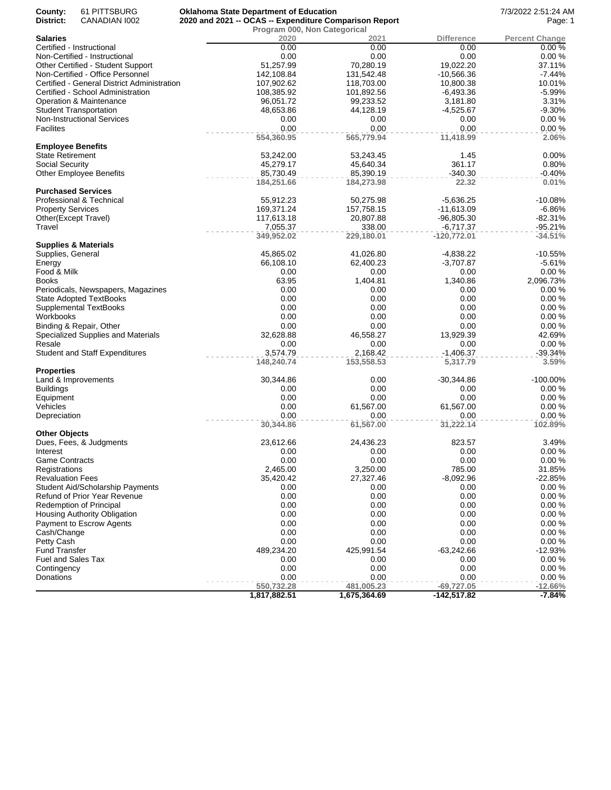| County:<br>District:            | 61 PITTSBURG<br>CANADIAN 1002               | <b>Oklahoma State Department of Education</b><br>2020 and 2021 -- OCAS -- Expenditure Comparison Report |                                      |                   | 7/3/2022 2:51:24 AM<br>Page: 1 |
|---------------------------------|---------------------------------------------|---------------------------------------------------------------------------------------------------------|--------------------------------------|-------------------|--------------------------------|
| <b>Salaries</b>                 |                                             | 2020                                                                                                    | Program 000, Non Categorical<br>2021 | <b>Difference</b> | <b>Percent Change</b>          |
| Certified - Instructional       |                                             | 0.00                                                                                                    | 0.00                                 | 0.00              | 0.00%                          |
|                                 | Non-Certified - Instructional               | 0.00                                                                                                    | 0.00                                 | 0.00              | 0.00%                          |
|                                 | Other Certified - Student Support           | 51.257.99                                                                                               | 70,280.19                            | 19,022.20         | 37.11%                         |
|                                 | Non-Certified - Office Personnel            | 142,108.84                                                                                              | 131,542.48                           | $-10,566.36$      | $-7.44%$                       |
|                                 | Certified - General District Administration | 107,902.62                                                                                              | 118,703.00                           | 10,800.38         | 10.01%                         |
|                                 | Certified - School Administration           | 108,385.92                                                                                              | 101,892.56                           | $-6,493.36$       | $-5.99%$                       |
|                                 | Operation & Maintenance                     | 96,051.72                                                                                               | 99,233.52                            | 3,181.80          | 3.31%                          |
| <b>Student Transportation</b>   |                                             | 48,653.86                                                                                               | 44,128.19                            | $-4,525.67$       | $-9.30%$                       |
|                                 | <b>Non-Instructional Services</b>           | 0.00                                                                                                    | 0.00                                 | 0.00              | 0.00%                          |
| <b>Facilites</b>                |                                             | 0.00                                                                                                    | 0.00                                 | 0.00              | 0.00%                          |
|                                 |                                             | 554,360.95                                                                                              | 565,779.94                           | 11,418.99         | 2.06%                          |
| <b>Employee Benefits</b>        |                                             |                                                                                                         |                                      |                   |                                |
| <b>State Retirement</b>         |                                             | 53,242.00                                                                                               | 53,243.45                            | 1.45              | 0.00%                          |
| Social Security                 |                                             | 45,279.17                                                                                               | 45,640.34                            | 361.17            | 0.80%                          |
|                                 | <b>Other Employee Benefits</b>              | 85,730.49                                                                                               | 85,390.19                            | $-340.30$         | $-0.40%$                       |
|                                 |                                             | 184,251.66                                                                                              | 184,273.98                           | 22.32             | 0.01%                          |
| <b>Purchased Services</b>       |                                             |                                                                                                         |                                      |                   |                                |
|                                 | Professional & Technical                    | 55,912.23                                                                                               | 50,275.98                            | $-5,636.25$       | $-10.08%$                      |
|                                 |                                             | 169,371.24                                                                                              | 157,758.15                           |                   | $-6.86%$                       |
| <b>Property Services</b>        |                                             |                                                                                                         |                                      | $-11,613.09$      |                                |
| Other(Except Travel)<br>Travel  |                                             | 117,613.18<br>7,055.37                                                                                  | 20,807.88                            | $-96,805.30$      | $-82.31%$                      |
|                                 |                                             |                                                                                                         | 338.00                               | $-6,717.37$       | $-95.21%$                      |
| <b>Supplies &amp; Materials</b> |                                             | 349,952.02                                                                                              | 229,180.01                           | $-120,772.01$     | $-34.51%$                      |
|                                 |                                             |                                                                                                         |                                      |                   |                                |
| Supplies, General               |                                             | 45,865.02                                                                                               | 41,026.80                            | $-4,838.22$       | $-10.55%$                      |
| Energy                          |                                             | 66,108.10                                                                                               | 62,400.23                            | $-3,707.87$       | $-5.61%$                       |
| Food & Milk                     |                                             | 0.00                                                                                                    | 0.00                                 | 0.00              | 0.00%                          |
| <b>Books</b>                    |                                             | 63.95                                                                                                   | 1,404.81                             | 1,340.86          | 2,096.73%                      |
|                                 | Periodicals, Newspapers, Magazines          | 0.00                                                                                                    | 0.00                                 | 0.00              | 0.00%                          |
|                                 | <b>State Adopted TextBooks</b>              | 0.00                                                                                                    | 0.00                                 | 0.00              | 0.00%                          |
|                                 | <b>Supplemental TextBooks</b>               | 0.00                                                                                                    | 0.00                                 | 0.00              | 0.00%                          |
| Workbooks                       |                                             | 0.00                                                                                                    | 0.00                                 | 0.00              | 0.00%                          |
|                                 | Binding & Repair, Other                     | 0.00                                                                                                    | 0.00                                 | 0.00              | 0.00%                          |
|                                 | Specialized Supplies and Materials          | 32,628.88                                                                                               | 46,558.27                            | 13,929.39         | 42.69%                         |
| Resale                          |                                             | 0.00                                                                                                    | 0.00                                 | 0.00              | 0.00%                          |
|                                 | <b>Student and Staff Expenditures</b>       | 3,574.79                                                                                                | 2,168.42                             | $-1,406.37$       | $-39.34%$                      |
|                                 |                                             | 148,240.74                                                                                              | 153,558.53                           | 5,317.79          | 3.59%                          |
| <b>Properties</b>               |                                             |                                                                                                         |                                      |                   |                                |
| Land & Improvements             |                                             | 30,344.86                                                                                               | 0.00                                 | $-30,344.86$      | -100.00%                       |
| <b>Buildings</b>                |                                             | 0.00                                                                                                    | 0.00                                 | 0.00              | 0.00%                          |
| Equipment                       |                                             | 0.00                                                                                                    | 0.00                                 | 0.00              | 0.00%                          |
| Vehicles                        |                                             | 0.00                                                                                                    | 61,567.00                            | 61,567.00         | 0.00%                          |
| Depreciation                    |                                             | 0.00                                                                                                    | 0.00                                 | 0.00              | 0.00%                          |
|                                 |                                             | 30,344.86                                                                                               | 61,567.00                            | 31,222.14         | 102.89%                        |
| <b>Other Objects</b>            |                                             |                                                                                                         |                                      |                   |                                |
|                                 | Dues, Fees, & Judgments                     | 23,612.66                                                                                               | 24,436.23                            | 823.57            | 3.49%                          |
| Interest                        |                                             | 0.00                                                                                                    | 0.00                                 | 0.00              | $0.00 \%$                      |
| <b>Game Contracts</b>           |                                             | 0.00                                                                                                    | 0.00                                 | 0.00              | 0.00%                          |
| Registrations                   |                                             | 2,465.00                                                                                                | 3,250.00                             | 785.00            | 31.85%                         |
| <b>Revaluation Fees</b>         |                                             | 35,420.42                                                                                               | 27,327.46                            | $-8,092.96$       | $-22.85%$                      |
|                                 | Student Aid/Scholarship Payments            | 0.00                                                                                                    | 0.00                                 | 0.00              | 0.00%                          |
|                                 | Refund of Prior Year Revenue                | 0.00                                                                                                    | 0.00                                 | 0.00              | 0.00%                          |
|                                 | <b>Redemption of Principal</b>              | 0.00                                                                                                    | 0.00                                 | 0.00              | 0.00%                          |
|                                 | Housing Authority Obligation                | 0.00                                                                                                    | 0.00                                 | 0.00              | 0.00%                          |
|                                 | Payment to Escrow Agents                    | 0.00                                                                                                    | 0.00                                 | 0.00              | 0.00%                          |
| Cash/Change                     |                                             | 0.00                                                                                                    | 0.00                                 | 0.00              | 0.00%                          |
| Petty Cash                      |                                             | 0.00                                                                                                    | 0.00                                 | 0.00              | 0.00%                          |
| <b>Fund Transfer</b>            |                                             | 489,234.20                                                                                              | 425,991.54                           | $-63,242.66$      | $-12.93%$                      |
| <b>Fuel and Sales Tax</b>       |                                             | 0.00                                                                                                    | 0.00                                 | 0.00              | 0.00%                          |
| Contingency                     |                                             | 0.00                                                                                                    | 0.00                                 | 0.00              | 0.00%                          |
| Donations                       |                                             | 0.00                                                                                                    | 0.00                                 | 0.00              | 0.00%                          |
|                                 |                                             | 550,732.28                                                                                              | 481,005.23                           | $-69,727.05$      | $-12.66%$                      |
|                                 |                                             | 1,817,882.51                                                                                            | 1,675,364.69                         | $-142,517.82$     | $-7.84%$                       |
|                                 |                                             |                                                                                                         |                                      |                   |                                |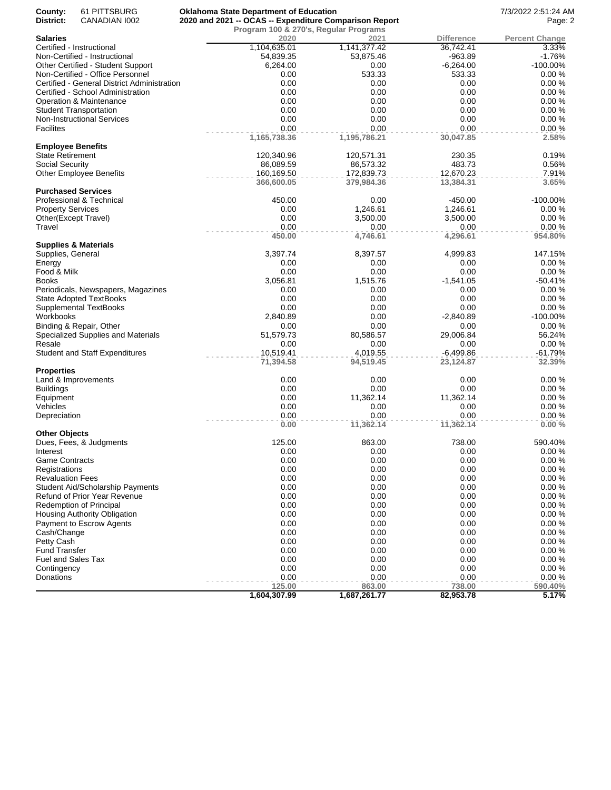| County:<br>District:<br>2020 and 2021 -- OCAS -- Expenditure Comparison Report<br>CANADIAN 1002<br>Program 100 & 270's, Regular Programs<br><b>Salaries</b><br>2020<br>2021<br><b>Difference</b><br>Certified - Instructional<br>1,104,635.01<br>1,141,377.42<br>36,742.41<br>54,839.35<br>53,875.46<br>$-963.89$<br>Non-Certified - Instructional<br>6,264.00<br>$-6,264.00$<br>Other Certified - Student Support<br>0.00<br>Non-Certified - Office Personnel<br>533.33<br>0.00<br>533.33<br>Certified - General District Administration<br>0.00<br>0.00<br>0.00<br>Certified - School Administration<br>0.00<br>0.00<br>0.00<br>Operation & Maintenance<br>0.00<br>0.00<br>0.00<br>0.00<br>0.00<br>0.00<br><b>Student Transportation</b><br>0.00<br><b>Non-Instructional Services</b><br>0.00<br>0.00<br><b>Facilites</b><br>0.00<br>0.00<br>0.00<br>1,165,738.36<br>1,195,786.21<br>30,047.85<br><b>Employee Benefits</b><br><b>State Retirement</b><br>120,340.96<br>230.35<br>120,571.31<br>Social Security<br>483.73<br>86,089.59<br>86,573.32<br>12,670.23<br><b>Other Employee Benefits</b><br>160,169.50<br>172,839.73<br>366,600.05<br>379,984.36<br>13,384.31<br><b>Purchased Services</b><br>Professional & Technical<br>450.00<br>0.00<br>$-450.00$<br><b>Property Services</b><br>0.00<br>1,246.61<br>1,246.61<br>0.00<br>3,500.00<br>Other(Except Travel)<br>3,500.00<br>Travel<br>0.00<br>0.00<br>0.00<br>450.00<br>4,746.61<br>4,296.61<br><b>Supplies &amp; Materials</b><br>3,397.74<br>8,397.57<br>Supplies, General<br>4,999.83<br>0.00<br>0.00<br>0.00<br>Energy<br>Food & Milk<br>0.00<br>0.00<br>0.00<br><b>Books</b><br>3,056.81<br>1,515.76<br>$-1,541.05$<br>0.00<br>Periodicals, Newspapers, Magazines<br>0.00<br>0.00<br><b>State Adopted TextBooks</b><br>0.00<br>0.00<br>0.00<br>0.00<br>0.00<br>0.00<br>Supplemental TextBooks<br>2,840.89<br>0.00<br>$-2,840.89$<br>Workbooks<br>Binding & Repair, Other<br>0.00<br>0.00<br>0.00<br>51,579.73<br>80,586.57<br>29,006.84<br>Specialized Supplies and Materials<br>Resale<br>0.00<br>0.00<br>0.00<br>10,519.41<br>4,019.55<br>$-6,499.86$<br><b>Student and Staff Expenditures</b><br>71,394.58<br>94,519.45<br>23,124.87<br><b>Properties</b><br>0.00<br>0.00<br>0.00<br>Land & Improvements<br>0.00<br>0.00<br>0.00<br><b>Buildings</b><br>0.00<br>11,362.14<br>11,362.14<br>Equipment<br>0.00<br>0.00<br>0.00<br>Vehicles<br>0.00<br>0.00<br>0.00<br>Depreciation<br>0.00<br>11,362.14<br>11,362.14<br><b>Other Objects</b><br>125.00<br>863.00<br>Dues, Fees, & Judgments<br>738.00 | Page: 2<br><b>Percent Change</b><br>3.33%<br>$-1.76%$<br>$-100.00\%$<br>0.00%<br>0.00%<br>0.00%<br>0.00%<br>0.00%<br>0.00%<br>0.00%<br>2.58%<br>0.19%<br>0.56%<br>7.91% |
|------------------------------------------------------------------------------------------------------------------------------------------------------------------------------------------------------------------------------------------------------------------------------------------------------------------------------------------------------------------------------------------------------------------------------------------------------------------------------------------------------------------------------------------------------------------------------------------------------------------------------------------------------------------------------------------------------------------------------------------------------------------------------------------------------------------------------------------------------------------------------------------------------------------------------------------------------------------------------------------------------------------------------------------------------------------------------------------------------------------------------------------------------------------------------------------------------------------------------------------------------------------------------------------------------------------------------------------------------------------------------------------------------------------------------------------------------------------------------------------------------------------------------------------------------------------------------------------------------------------------------------------------------------------------------------------------------------------------------------------------------------------------------------------------------------------------------------------------------------------------------------------------------------------------------------------------------------------------------------------------------------------------------------------------------------------------------------------------------------------------------------------------------------------------------------------------------------------------------------------------------------------------------------------------------------------------------------------------------------------------------------------------------------------------------------------------------------------------------------------------------------------------------------------------------------------------|-------------------------------------------------------------------------------------------------------------------------------------------------------------------------|
|                                                                                                                                                                                                                                                                                                                                                                                                                                                                                                                                                                                                                                                                                                                                                                                                                                                                                                                                                                                                                                                                                                                                                                                                                                                                                                                                                                                                                                                                                                                                                                                                                                                                                                                                                                                                                                                                                                                                                                                                                                                                                                                                                                                                                                                                                                                                                                                                                                                                                                                                                                        |                                                                                                                                                                         |
|                                                                                                                                                                                                                                                                                                                                                                                                                                                                                                                                                                                                                                                                                                                                                                                                                                                                                                                                                                                                                                                                                                                                                                                                                                                                                                                                                                                                                                                                                                                                                                                                                                                                                                                                                                                                                                                                                                                                                                                                                                                                                                                                                                                                                                                                                                                                                                                                                                                                                                                                                                        |                                                                                                                                                                         |
|                                                                                                                                                                                                                                                                                                                                                                                                                                                                                                                                                                                                                                                                                                                                                                                                                                                                                                                                                                                                                                                                                                                                                                                                                                                                                                                                                                                                                                                                                                                                                                                                                                                                                                                                                                                                                                                                                                                                                                                                                                                                                                                                                                                                                                                                                                                                                                                                                                                                                                                                                                        |                                                                                                                                                                         |
|                                                                                                                                                                                                                                                                                                                                                                                                                                                                                                                                                                                                                                                                                                                                                                                                                                                                                                                                                                                                                                                                                                                                                                                                                                                                                                                                                                                                                                                                                                                                                                                                                                                                                                                                                                                                                                                                                                                                                                                                                                                                                                                                                                                                                                                                                                                                                                                                                                                                                                                                                                        |                                                                                                                                                                         |
|                                                                                                                                                                                                                                                                                                                                                                                                                                                                                                                                                                                                                                                                                                                                                                                                                                                                                                                                                                                                                                                                                                                                                                                                                                                                                                                                                                                                                                                                                                                                                                                                                                                                                                                                                                                                                                                                                                                                                                                                                                                                                                                                                                                                                                                                                                                                                                                                                                                                                                                                                                        |                                                                                                                                                                         |
|                                                                                                                                                                                                                                                                                                                                                                                                                                                                                                                                                                                                                                                                                                                                                                                                                                                                                                                                                                                                                                                                                                                                                                                                                                                                                                                                                                                                                                                                                                                                                                                                                                                                                                                                                                                                                                                                                                                                                                                                                                                                                                                                                                                                                                                                                                                                                                                                                                                                                                                                                                        |                                                                                                                                                                         |
|                                                                                                                                                                                                                                                                                                                                                                                                                                                                                                                                                                                                                                                                                                                                                                                                                                                                                                                                                                                                                                                                                                                                                                                                                                                                                                                                                                                                                                                                                                                                                                                                                                                                                                                                                                                                                                                                                                                                                                                                                                                                                                                                                                                                                                                                                                                                                                                                                                                                                                                                                                        |                                                                                                                                                                         |
|                                                                                                                                                                                                                                                                                                                                                                                                                                                                                                                                                                                                                                                                                                                                                                                                                                                                                                                                                                                                                                                                                                                                                                                                                                                                                                                                                                                                                                                                                                                                                                                                                                                                                                                                                                                                                                                                                                                                                                                                                                                                                                                                                                                                                                                                                                                                                                                                                                                                                                                                                                        |                                                                                                                                                                         |
|                                                                                                                                                                                                                                                                                                                                                                                                                                                                                                                                                                                                                                                                                                                                                                                                                                                                                                                                                                                                                                                                                                                                                                                                                                                                                                                                                                                                                                                                                                                                                                                                                                                                                                                                                                                                                                                                                                                                                                                                                                                                                                                                                                                                                                                                                                                                                                                                                                                                                                                                                                        |                                                                                                                                                                         |
|                                                                                                                                                                                                                                                                                                                                                                                                                                                                                                                                                                                                                                                                                                                                                                                                                                                                                                                                                                                                                                                                                                                                                                                                                                                                                                                                                                                                                                                                                                                                                                                                                                                                                                                                                                                                                                                                                                                                                                                                                                                                                                                                                                                                                                                                                                                                                                                                                                                                                                                                                                        |                                                                                                                                                                         |
|                                                                                                                                                                                                                                                                                                                                                                                                                                                                                                                                                                                                                                                                                                                                                                                                                                                                                                                                                                                                                                                                                                                                                                                                                                                                                                                                                                                                                                                                                                                                                                                                                                                                                                                                                                                                                                                                                                                                                                                                                                                                                                                                                                                                                                                                                                                                                                                                                                                                                                                                                                        |                                                                                                                                                                         |
|                                                                                                                                                                                                                                                                                                                                                                                                                                                                                                                                                                                                                                                                                                                                                                                                                                                                                                                                                                                                                                                                                                                                                                                                                                                                                                                                                                                                                                                                                                                                                                                                                                                                                                                                                                                                                                                                                                                                                                                                                                                                                                                                                                                                                                                                                                                                                                                                                                                                                                                                                                        |                                                                                                                                                                         |
|                                                                                                                                                                                                                                                                                                                                                                                                                                                                                                                                                                                                                                                                                                                                                                                                                                                                                                                                                                                                                                                                                                                                                                                                                                                                                                                                                                                                                                                                                                                                                                                                                                                                                                                                                                                                                                                                                                                                                                                                                                                                                                                                                                                                                                                                                                                                                                                                                                                                                                                                                                        |                                                                                                                                                                         |
|                                                                                                                                                                                                                                                                                                                                                                                                                                                                                                                                                                                                                                                                                                                                                                                                                                                                                                                                                                                                                                                                                                                                                                                                                                                                                                                                                                                                                                                                                                                                                                                                                                                                                                                                                                                                                                                                                                                                                                                                                                                                                                                                                                                                                                                                                                                                                                                                                                                                                                                                                                        |                                                                                                                                                                         |
|                                                                                                                                                                                                                                                                                                                                                                                                                                                                                                                                                                                                                                                                                                                                                                                                                                                                                                                                                                                                                                                                                                                                                                                                                                                                                                                                                                                                                                                                                                                                                                                                                                                                                                                                                                                                                                                                                                                                                                                                                                                                                                                                                                                                                                                                                                                                                                                                                                                                                                                                                                        |                                                                                                                                                                         |
|                                                                                                                                                                                                                                                                                                                                                                                                                                                                                                                                                                                                                                                                                                                                                                                                                                                                                                                                                                                                                                                                                                                                                                                                                                                                                                                                                                                                                                                                                                                                                                                                                                                                                                                                                                                                                                                                                                                                                                                                                                                                                                                                                                                                                                                                                                                                                                                                                                                                                                                                                                        |                                                                                                                                                                         |
|                                                                                                                                                                                                                                                                                                                                                                                                                                                                                                                                                                                                                                                                                                                                                                                                                                                                                                                                                                                                                                                                                                                                                                                                                                                                                                                                                                                                                                                                                                                                                                                                                                                                                                                                                                                                                                                                                                                                                                                                                                                                                                                                                                                                                                                                                                                                                                                                                                                                                                                                                                        |                                                                                                                                                                         |
|                                                                                                                                                                                                                                                                                                                                                                                                                                                                                                                                                                                                                                                                                                                                                                                                                                                                                                                                                                                                                                                                                                                                                                                                                                                                                                                                                                                                                                                                                                                                                                                                                                                                                                                                                                                                                                                                                                                                                                                                                                                                                                                                                                                                                                                                                                                                                                                                                                                                                                                                                                        |                                                                                                                                                                         |
|                                                                                                                                                                                                                                                                                                                                                                                                                                                                                                                                                                                                                                                                                                                                                                                                                                                                                                                                                                                                                                                                                                                                                                                                                                                                                                                                                                                                                                                                                                                                                                                                                                                                                                                                                                                                                                                                                                                                                                                                                                                                                                                                                                                                                                                                                                                                                                                                                                                                                                                                                                        | 3.65%                                                                                                                                                                   |
|                                                                                                                                                                                                                                                                                                                                                                                                                                                                                                                                                                                                                                                                                                                                                                                                                                                                                                                                                                                                                                                                                                                                                                                                                                                                                                                                                                                                                                                                                                                                                                                                                                                                                                                                                                                                                                                                                                                                                                                                                                                                                                                                                                                                                                                                                                                                                                                                                                                                                                                                                                        |                                                                                                                                                                         |
|                                                                                                                                                                                                                                                                                                                                                                                                                                                                                                                                                                                                                                                                                                                                                                                                                                                                                                                                                                                                                                                                                                                                                                                                                                                                                                                                                                                                                                                                                                                                                                                                                                                                                                                                                                                                                                                                                                                                                                                                                                                                                                                                                                                                                                                                                                                                                                                                                                                                                                                                                                        | -100.00%                                                                                                                                                                |
|                                                                                                                                                                                                                                                                                                                                                                                                                                                                                                                                                                                                                                                                                                                                                                                                                                                                                                                                                                                                                                                                                                                                                                                                                                                                                                                                                                                                                                                                                                                                                                                                                                                                                                                                                                                                                                                                                                                                                                                                                                                                                                                                                                                                                                                                                                                                                                                                                                                                                                                                                                        | 0.00%                                                                                                                                                                   |
|                                                                                                                                                                                                                                                                                                                                                                                                                                                                                                                                                                                                                                                                                                                                                                                                                                                                                                                                                                                                                                                                                                                                                                                                                                                                                                                                                                                                                                                                                                                                                                                                                                                                                                                                                                                                                                                                                                                                                                                                                                                                                                                                                                                                                                                                                                                                                                                                                                                                                                                                                                        | 0.00%                                                                                                                                                                   |
|                                                                                                                                                                                                                                                                                                                                                                                                                                                                                                                                                                                                                                                                                                                                                                                                                                                                                                                                                                                                                                                                                                                                                                                                                                                                                                                                                                                                                                                                                                                                                                                                                                                                                                                                                                                                                                                                                                                                                                                                                                                                                                                                                                                                                                                                                                                                                                                                                                                                                                                                                                        | 0.00%                                                                                                                                                                   |
|                                                                                                                                                                                                                                                                                                                                                                                                                                                                                                                                                                                                                                                                                                                                                                                                                                                                                                                                                                                                                                                                                                                                                                                                                                                                                                                                                                                                                                                                                                                                                                                                                                                                                                                                                                                                                                                                                                                                                                                                                                                                                                                                                                                                                                                                                                                                                                                                                                                                                                                                                                        |                                                                                                                                                                         |
|                                                                                                                                                                                                                                                                                                                                                                                                                                                                                                                                                                                                                                                                                                                                                                                                                                                                                                                                                                                                                                                                                                                                                                                                                                                                                                                                                                                                                                                                                                                                                                                                                                                                                                                                                                                                                                                                                                                                                                                                                                                                                                                                                                                                                                                                                                                                                                                                                                                                                                                                                                        | 954.80%                                                                                                                                                                 |
|                                                                                                                                                                                                                                                                                                                                                                                                                                                                                                                                                                                                                                                                                                                                                                                                                                                                                                                                                                                                                                                                                                                                                                                                                                                                                                                                                                                                                                                                                                                                                                                                                                                                                                                                                                                                                                                                                                                                                                                                                                                                                                                                                                                                                                                                                                                                                                                                                                                                                                                                                                        |                                                                                                                                                                         |
|                                                                                                                                                                                                                                                                                                                                                                                                                                                                                                                                                                                                                                                                                                                                                                                                                                                                                                                                                                                                                                                                                                                                                                                                                                                                                                                                                                                                                                                                                                                                                                                                                                                                                                                                                                                                                                                                                                                                                                                                                                                                                                                                                                                                                                                                                                                                                                                                                                                                                                                                                                        | 147.15%                                                                                                                                                                 |
|                                                                                                                                                                                                                                                                                                                                                                                                                                                                                                                                                                                                                                                                                                                                                                                                                                                                                                                                                                                                                                                                                                                                                                                                                                                                                                                                                                                                                                                                                                                                                                                                                                                                                                                                                                                                                                                                                                                                                                                                                                                                                                                                                                                                                                                                                                                                                                                                                                                                                                                                                                        | 0.00%                                                                                                                                                                   |
|                                                                                                                                                                                                                                                                                                                                                                                                                                                                                                                                                                                                                                                                                                                                                                                                                                                                                                                                                                                                                                                                                                                                                                                                                                                                                                                                                                                                                                                                                                                                                                                                                                                                                                                                                                                                                                                                                                                                                                                                                                                                                                                                                                                                                                                                                                                                                                                                                                                                                                                                                                        | 0.00%                                                                                                                                                                   |
|                                                                                                                                                                                                                                                                                                                                                                                                                                                                                                                                                                                                                                                                                                                                                                                                                                                                                                                                                                                                                                                                                                                                                                                                                                                                                                                                                                                                                                                                                                                                                                                                                                                                                                                                                                                                                                                                                                                                                                                                                                                                                                                                                                                                                                                                                                                                                                                                                                                                                                                                                                        | $-50.41%$                                                                                                                                                               |
|                                                                                                                                                                                                                                                                                                                                                                                                                                                                                                                                                                                                                                                                                                                                                                                                                                                                                                                                                                                                                                                                                                                                                                                                                                                                                                                                                                                                                                                                                                                                                                                                                                                                                                                                                                                                                                                                                                                                                                                                                                                                                                                                                                                                                                                                                                                                                                                                                                                                                                                                                                        | 0.00%                                                                                                                                                                   |
|                                                                                                                                                                                                                                                                                                                                                                                                                                                                                                                                                                                                                                                                                                                                                                                                                                                                                                                                                                                                                                                                                                                                                                                                                                                                                                                                                                                                                                                                                                                                                                                                                                                                                                                                                                                                                                                                                                                                                                                                                                                                                                                                                                                                                                                                                                                                                                                                                                                                                                                                                                        | 0.00%                                                                                                                                                                   |
|                                                                                                                                                                                                                                                                                                                                                                                                                                                                                                                                                                                                                                                                                                                                                                                                                                                                                                                                                                                                                                                                                                                                                                                                                                                                                                                                                                                                                                                                                                                                                                                                                                                                                                                                                                                                                                                                                                                                                                                                                                                                                                                                                                                                                                                                                                                                                                                                                                                                                                                                                                        | 0.00%                                                                                                                                                                   |
|                                                                                                                                                                                                                                                                                                                                                                                                                                                                                                                                                                                                                                                                                                                                                                                                                                                                                                                                                                                                                                                                                                                                                                                                                                                                                                                                                                                                                                                                                                                                                                                                                                                                                                                                                                                                                                                                                                                                                                                                                                                                                                                                                                                                                                                                                                                                                                                                                                                                                                                                                                        | $-100.00\%$                                                                                                                                                             |
|                                                                                                                                                                                                                                                                                                                                                                                                                                                                                                                                                                                                                                                                                                                                                                                                                                                                                                                                                                                                                                                                                                                                                                                                                                                                                                                                                                                                                                                                                                                                                                                                                                                                                                                                                                                                                                                                                                                                                                                                                                                                                                                                                                                                                                                                                                                                                                                                                                                                                                                                                                        | 0.00%                                                                                                                                                                   |
|                                                                                                                                                                                                                                                                                                                                                                                                                                                                                                                                                                                                                                                                                                                                                                                                                                                                                                                                                                                                                                                                                                                                                                                                                                                                                                                                                                                                                                                                                                                                                                                                                                                                                                                                                                                                                                                                                                                                                                                                                                                                                                                                                                                                                                                                                                                                                                                                                                                                                                                                                                        | 56.24%                                                                                                                                                                  |
|                                                                                                                                                                                                                                                                                                                                                                                                                                                                                                                                                                                                                                                                                                                                                                                                                                                                                                                                                                                                                                                                                                                                                                                                                                                                                                                                                                                                                                                                                                                                                                                                                                                                                                                                                                                                                                                                                                                                                                                                                                                                                                                                                                                                                                                                                                                                                                                                                                                                                                                                                                        | 0.00%                                                                                                                                                                   |
|                                                                                                                                                                                                                                                                                                                                                                                                                                                                                                                                                                                                                                                                                                                                                                                                                                                                                                                                                                                                                                                                                                                                                                                                                                                                                                                                                                                                                                                                                                                                                                                                                                                                                                                                                                                                                                                                                                                                                                                                                                                                                                                                                                                                                                                                                                                                                                                                                                                                                                                                                                        | $-61.79%$                                                                                                                                                               |
|                                                                                                                                                                                                                                                                                                                                                                                                                                                                                                                                                                                                                                                                                                                                                                                                                                                                                                                                                                                                                                                                                                                                                                                                                                                                                                                                                                                                                                                                                                                                                                                                                                                                                                                                                                                                                                                                                                                                                                                                                                                                                                                                                                                                                                                                                                                                                                                                                                                                                                                                                                        | 32.39%                                                                                                                                                                  |
|                                                                                                                                                                                                                                                                                                                                                                                                                                                                                                                                                                                                                                                                                                                                                                                                                                                                                                                                                                                                                                                                                                                                                                                                                                                                                                                                                                                                                                                                                                                                                                                                                                                                                                                                                                                                                                                                                                                                                                                                                                                                                                                                                                                                                                                                                                                                                                                                                                                                                                                                                                        |                                                                                                                                                                         |
|                                                                                                                                                                                                                                                                                                                                                                                                                                                                                                                                                                                                                                                                                                                                                                                                                                                                                                                                                                                                                                                                                                                                                                                                                                                                                                                                                                                                                                                                                                                                                                                                                                                                                                                                                                                                                                                                                                                                                                                                                                                                                                                                                                                                                                                                                                                                                                                                                                                                                                                                                                        | 0.00%                                                                                                                                                                   |
|                                                                                                                                                                                                                                                                                                                                                                                                                                                                                                                                                                                                                                                                                                                                                                                                                                                                                                                                                                                                                                                                                                                                                                                                                                                                                                                                                                                                                                                                                                                                                                                                                                                                                                                                                                                                                                                                                                                                                                                                                                                                                                                                                                                                                                                                                                                                                                                                                                                                                                                                                                        | 0.00%                                                                                                                                                                   |
|                                                                                                                                                                                                                                                                                                                                                                                                                                                                                                                                                                                                                                                                                                                                                                                                                                                                                                                                                                                                                                                                                                                                                                                                                                                                                                                                                                                                                                                                                                                                                                                                                                                                                                                                                                                                                                                                                                                                                                                                                                                                                                                                                                                                                                                                                                                                                                                                                                                                                                                                                                        | 0.00%                                                                                                                                                                   |
|                                                                                                                                                                                                                                                                                                                                                                                                                                                                                                                                                                                                                                                                                                                                                                                                                                                                                                                                                                                                                                                                                                                                                                                                                                                                                                                                                                                                                                                                                                                                                                                                                                                                                                                                                                                                                                                                                                                                                                                                                                                                                                                                                                                                                                                                                                                                                                                                                                                                                                                                                                        | 0.00%                                                                                                                                                                   |
|                                                                                                                                                                                                                                                                                                                                                                                                                                                                                                                                                                                                                                                                                                                                                                                                                                                                                                                                                                                                                                                                                                                                                                                                                                                                                                                                                                                                                                                                                                                                                                                                                                                                                                                                                                                                                                                                                                                                                                                                                                                                                                                                                                                                                                                                                                                                                                                                                                                                                                                                                                        | 0.00%                                                                                                                                                                   |
|                                                                                                                                                                                                                                                                                                                                                                                                                                                                                                                                                                                                                                                                                                                                                                                                                                                                                                                                                                                                                                                                                                                                                                                                                                                                                                                                                                                                                                                                                                                                                                                                                                                                                                                                                                                                                                                                                                                                                                                                                                                                                                                                                                                                                                                                                                                                                                                                                                                                                                                                                                        | 0.00%                                                                                                                                                                   |
|                                                                                                                                                                                                                                                                                                                                                                                                                                                                                                                                                                                                                                                                                                                                                                                                                                                                                                                                                                                                                                                                                                                                                                                                                                                                                                                                                                                                                                                                                                                                                                                                                                                                                                                                                                                                                                                                                                                                                                                                                                                                                                                                                                                                                                                                                                                                                                                                                                                                                                                                                                        |                                                                                                                                                                         |
|                                                                                                                                                                                                                                                                                                                                                                                                                                                                                                                                                                                                                                                                                                                                                                                                                                                                                                                                                                                                                                                                                                                                                                                                                                                                                                                                                                                                                                                                                                                                                                                                                                                                                                                                                                                                                                                                                                                                                                                                                                                                                                                                                                                                                                                                                                                                                                                                                                                                                                                                                                        | 590.40%                                                                                                                                                                 |
| 0.00<br>0.00<br>0.00<br>Interest                                                                                                                                                                                                                                                                                                                                                                                                                                                                                                                                                                                                                                                                                                                                                                                                                                                                                                                                                                                                                                                                                                                                                                                                                                                                                                                                                                                                                                                                                                                                                                                                                                                                                                                                                                                                                                                                                                                                                                                                                                                                                                                                                                                                                                                                                                                                                                                                                                                                                                                                       | 0.00%                                                                                                                                                                   |
| 0.00<br><b>Game Contracts</b><br>0.00<br>0.00                                                                                                                                                                                                                                                                                                                                                                                                                                                                                                                                                                                                                                                                                                                                                                                                                                                                                                                                                                                                                                                                                                                                                                                                                                                                                                                                                                                                                                                                                                                                                                                                                                                                                                                                                                                                                                                                                                                                                                                                                                                                                                                                                                                                                                                                                                                                                                                                                                                                                                                          | 0.00%                                                                                                                                                                   |
| 0.00<br>0.00<br>0.00<br>Registrations                                                                                                                                                                                                                                                                                                                                                                                                                                                                                                                                                                                                                                                                                                                                                                                                                                                                                                                                                                                                                                                                                                                                                                                                                                                                                                                                                                                                                                                                                                                                                                                                                                                                                                                                                                                                                                                                                                                                                                                                                                                                                                                                                                                                                                                                                                                                                                                                                                                                                                                                  | 0.00%                                                                                                                                                                   |
| 0.00<br>0.00<br>0.00<br><b>Revaluation Fees</b>                                                                                                                                                                                                                                                                                                                                                                                                                                                                                                                                                                                                                                                                                                                                                                                                                                                                                                                                                                                                                                                                                                                                                                                                                                                                                                                                                                                                                                                                                                                                                                                                                                                                                                                                                                                                                                                                                                                                                                                                                                                                                                                                                                                                                                                                                                                                                                                                                                                                                                                        | 0.00%                                                                                                                                                                   |
| Student Aid/Scholarship Payments<br>0.00<br>0.00<br>0.00                                                                                                                                                                                                                                                                                                                                                                                                                                                                                                                                                                                                                                                                                                                                                                                                                                                                                                                                                                                                                                                                                                                                                                                                                                                                                                                                                                                                                                                                                                                                                                                                                                                                                                                                                                                                                                                                                                                                                                                                                                                                                                                                                                                                                                                                                                                                                                                                                                                                                                               | 0.00%                                                                                                                                                                   |
| 0.00<br>Refund of Prior Year Revenue<br>0.00<br>0.00                                                                                                                                                                                                                                                                                                                                                                                                                                                                                                                                                                                                                                                                                                                                                                                                                                                                                                                                                                                                                                                                                                                                                                                                                                                                                                                                                                                                                                                                                                                                                                                                                                                                                                                                                                                                                                                                                                                                                                                                                                                                                                                                                                                                                                                                                                                                                                                                                                                                                                                   | 0.00%                                                                                                                                                                   |
|                                                                                                                                                                                                                                                                                                                                                                                                                                                                                                                                                                                                                                                                                                                                                                                                                                                                                                                                                                                                                                                                                                                                                                                                                                                                                                                                                                                                                                                                                                                                                                                                                                                                                                                                                                                                                                                                                                                                                                                                                                                                                                                                                                                                                                                                                                                                                                                                                                                                                                                                                                        |                                                                                                                                                                         |
| <b>Redemption of Principal</b><br>0.00<br>0.00<br>0.00                                                                                                                                                                                                                                                                                                                                                                                                                                                                                                                                                                                                                                                                                                                                                                                                                                                                                                                                                                                                                                                                                                                                                                                                                                                                                                                                                                                                                                                                                                                                                                                                                                                                                                                                                                                                                                                                                                                                                                                                                                                                                                                                                                                                                                                                                                                                                                                                                                                                                                                 | 0.00%                                                                                                                                                                   |
| 0.00<br>Housing Authority Obligation<br>0.00<br>0.00                                                                                                                                                                                                                                                                                                                                                                                                                                                                                                                                                                                                                                                                                                                                                                                                                                                                                                                                                                                                                                                                                                                                                                                                                                                                                                                                                                                                                                                                                                                                                                                                                                                                                                                                                                                                                                                                                                                                                                                                                                                                                                                                                                                                                                                                                                                                                                                                                                                                                                                   | 0.00%                                                                                                                                                                   |
| 0.00<br>0.00<br>0.00<br>Payment to Escrow Agents                                                                                                                                                                                                                                                                                                                                                                                                                                                                                                                                                                                                                                                                                                                                                                                                                                                                                                                                                                                                                                                                                                                                                                                                                                                                                                                                                                                                                                                                                                                                                                                                                                                                                                                                                                                                                                                                                                                                                                                                                                                                                                                                                                                                                                                                                                                                                                                                                                                                                                                       | 0.00%                                                                                                                                                                   |
| 0.00<br>Cash/Change<br>0.00<br>0.00                                                                                                                                                                                                                                                                                                                                                                                                                                                                                                                                                                                                                                                                                                                                                                                                                                                                                                                                                                                                                                                                                                                                                                                                                                                                                                                                                                                                                                                                                                                                                                                                                                                                                                                                                                                                                                                                                                                                                                                                                                                                                                                                                                                                                                                                                                                                                                                                                                                                                                                                    | 0.00%                                                                                                                                                                   |
| Petty Cash<br>0.00<br>0.00<br>0.00                                                                                                                                                                                                                                                                                                                                                                                                                                                                                                                                                                                                                                                                                                                                                                                                                                                                                                                                                                                                                                                                                                                                                                                                                                                                                                                                                                                                                                                                                                                                                                                                                                                                                                                                                                                                                                                                                                                                                                                                                                                                                                                                                                                                                                                                                                                                                                                                                                                                                                                                     | 0.00%                                                                                                                                                                   |
| <b>Fund Transfer</b><br>0.00<br>0.00<br>0.00                                                                                                                                                                                                                                                                                                                                                                                                                                                                                                                                                                                                                                                                                                                                                                                                                                                                                                                                                                                                                                                                                                                                                                                                                                                                                                                                                                                                                                                                                                                                                                                                                                                                                                                                                                                                                                                                                                                                                                                                                                                                                                                                                                                                                                                                                                                                                                                                                                                                                                                           | 0.00%                                                                                                                                                                   |
| <b>Fuel and Sales Tax</b><br>0.00<br>0.00<br>0.00                                                                                                                                                                                                                                                                                                                                                                                                                                                                                                                                                                                                                                                                                                                                                                                                                                                                                                                                                                                                                                                                                                                                                                                                                                                                                                                                                                                                                                                                                                                                                                                                                                                                                                                                                                                                                                                                                                                                                                                                                                                                                                                                                                                                                                                                                                                                                                                                                                                                                                                      | 0.00%                                                                                                                                                                   |
| 0.00<br>0.00<br>0.00<br>Contingency                                                                                                                                                                                                                                                                                                                                                                                                                                                                                                                                                                                                                                                                                                                                                                                                                                                                                                                                                                                                                                                                                                                                                                                                                                                                                                                                                                                                                                                                                                                                                                                                                                                                                                                                                                                                                                                                                                                                                                                                                                                                                                                                                                                                                                                                                                                                                                                                                                                                                                                                    | 0.00%                                                                                                                                                                   |
| 0.00<br>0.00<br>0.00<br>Donations                                                                                                                                                                                                                                                                                                                                                                                                                                                                                                                                                                                                                                                                                                                                                                                                                                                                                                                                                                                                                                                                                                                                                                                                                                                                                                                                                                                                                                                                                                                                                                                                                                                                                                                                                                                                                                                                                                                                                                                                                                                                                                                                                                                                                                                                                                                                                                                                                                                                                                                                      |                                                                                                                                                                         |
| 125.00<br>863.00<br>738.00                                                                                                                                                                                                                                                                                                                                                                                                                                                                                                                                                                                                                                                                                                                                                                                                                                                                                                                                                                                                                                                                                                                                                                                                                                                                                                                                                                                                                                                                                                                                                                                                                                                                                                                                                                                                                                                                                                                                                                                                                                                                                                                                                                                                                                                                                                                                                                                                                                                                                                                                             | 0.00%                                                                                                                                                                   |
| 1,604,307.99<br>1,687,261.77<br>82,953.78                                                                                                                                                                                                                                                                                                                                                                                                                                                                                                                                                                                                                                                                                                                                                                                                                                                                                                                                                                                                                                                                                                                                                                                                                                                                                                                                                                                                                                                                                                                                                                                                                                                                                                                                                                                                                                                                                                                                                                                                                                                                                                                                                                                                                                                                                                                                                                                                                                                                                                                              | 590.40%                                                                                                                                                                 |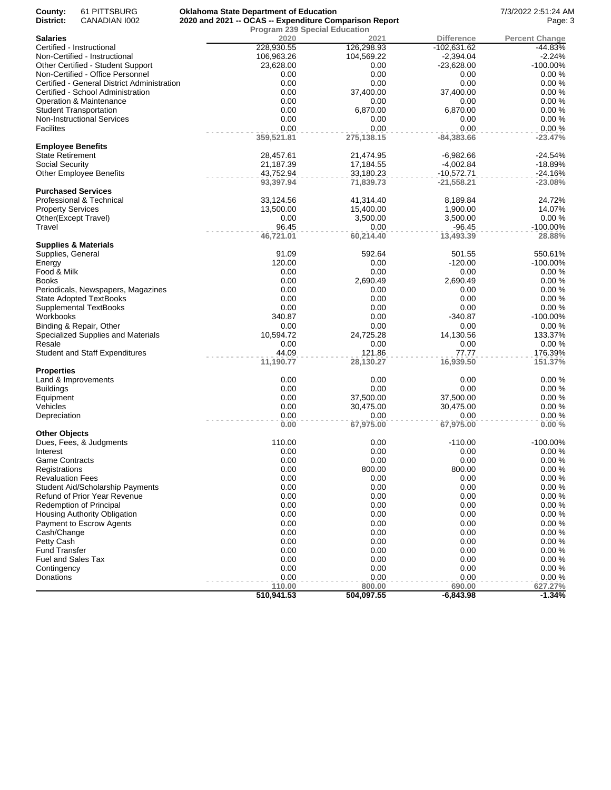| County:<br>District:            | 61 PITTSBURG<br>CANADIAN 1002               | <b>Oklahoma State Department of Education</b><br>2020 and 2021 -- OCAS -- Expenditure Comparison Report |            |                   | 7/3/2022 2:51:24 AM<br>Page: 3 |
|---------------------------------|---------------------------------------------|---------------------------------------------------------------------------------------------------------|------------|-------------------|--------------------------------|
|                                 |                                             | <b>Program 239 Special Education</b>                                                                    |            |                   |                                |
| <b>Salaries</b>                 |                                             | 2020                                                                                                    | 2021       | <b>Difference</b> | <b>Percent Change</b>          |
| Certified - Instructional       |                                             | 228,930.55                                                                                              | 126,298.93 | $-102,631.62$     | -44.83%                        |
|                                 | Non-Certified - Instructional               | 106,963.26                                                                                              | 104,569.22 | $-2,394.04$       | $-2.24%$                       |
|                                 | Other Certified - Student Support           | 23,628.00                                                                                               | 0.00       | $-23,628.00$      | -100.00%                       |
|                                 | Non-Certified - Office Personnel            | 0.00                                                                                                    | 0.00       | 0.00              | 0.00%                          |
|                                 | Certified - General District Administration | 0.00                                                                                                    | 0.00       | 0.00              | 0.00%                          |
|                                 | Certified - School Administration           | 0.00                                                                                                    | 37,400.00  | 37,400.00         | 0.00%                          |
|                                 | Operation & Maintenance                     | 0.00                                                                                                    | 0.00       | 0.00              | 0.00%                          |
| <b>Student Transportation</b>   |                                             | 0.00                                                                                                    | 6,870.00   | 6,870.00          | 0.00%                          |
|                                 | <b>Non-Instructional Services</b>           | 0.00                                                                                                    | 0.00       | 0.00              | 0.00%                          |
| Facilites                       |                                             | 0.00                                                                                                    | 0.00       | 0.00              | 0.00%                          |
|                                 |                                             | 359,521.81                                                                                              | 275,138.15 | -84,383.66        | $-23.47%$                      |
| <b>Employee Benefits</b>        |                                             |                                                                                                         |            |                   |                                |
| State Retirement                |                                             | 28,457.61                                                                                               | 21,474.95  | $-6,982.66$       | $-24.54%$                      |
| Social Security                 |                                             | 21,187.39                                                                                               | 17,184.55  | $-4,002.84$       | $-18.89%$                      |
| <b>Other Employee Benefits</b>  |                                             | 43,752.94                                                                                               | 33,180.23  | $-10,572.71$      | $-24.16%$                      |
|                                 |                                             | 93,397.94                                                                                               | 71,839.73  | -21,558.21        | $-23.08%$                      |
| <b>Purchased Services</b>       |                                             |                                                                                                         |            |                   |                                |
| Professional & Technical        |                                             | 33,124.56                                                                                               | 41,314.40  |                   |                                |
|                                 |                                             |                                                                                                         |            | 8,189.84          | 24.72%                         |
| <b>Property Services</b>        |                                             | 13,500.00                                                                                               | 15,400.00  | 1,900.00          | 14.07%                         |
| Other(Except Travel)            |                                             | 0.00                                                                                                    | 3,500.00   | 3,500.00          | 0.00%                          |
| Travel                          |                                             | 96.45                                                                                                   | 0.00       | -96.45            | $-100.00\%$                    |
|                                 |                                             | 46,721.01                                                                                               | 60,214.40  | 13,493.39         | 28.88%                         |
| <b>Supplies &amp; Materials</b> |                                             |                                                                                                         |            |                   |                                |
| Supplies, General               |                                             | 91.09                                                                                                   | 592.64     | 501.55            | 550.61%                        |
| Energy                          |                                             | 120.00                                                                                                  | 0.00       | $-120.00$         | -100.00%                       |
| Food & Milk                     |                                             | 0.00                                                                                                    | 0.00       | 0.00              | 0.00%                          |
| Books                           |                                             | 0.00                                                                                                    | 2,690.49   | 2,690.49          | 0.00%                          |
|                                 | Periodicals, Newspapers, Magazines          | 0.00                                                                                                    | 0.00       | 0.00              | 0.00%                          |
|                                 | State Adopted TextBooks                     | 0.00                                                                                                    | 0.00       | 0.00              | 0.00%                          |
| <b>Supplemental TextBooks</b>   |                                             | 0.00                                                                                                    | 0.00       | 0.00              | 0.00%                          |
| Workbooks                       |                                             | 340.87                                                                                                  | 0.00       | $-340.87$         | $-100.00\%$                    |
| Binding & Repair, Other         |                                             | 0.00                                                                                                    | 0.00       | 0.00              | 0.00%                          |
|                                 | Specialized Supplies and Materials          | 10,594.72                                                                                               | 24,725.28  | 14,130.56         | 133.37%                        |
| Resale                          |                                             | 0.00                                                                                                    | 0.00       | 0.00              | 0.00%                          |
|                                 | <b>Student and Staff Expenditures</b>       | 44.09                                                                                                   | 121.86     | 77.77             | 176.39%                        |
|                                 |                                             | 11,190.77                                                                                               | 28,130.27  | 16,939.50         | 151.37%                        |
| <b>Properties</b>               |                                             |                                                                                                         |            |                   |                                |
| Land & Improvements             |                                             | 0.00                                                                                                    | 0.00       | 0.00              | 0.00%                          |
| <b>Buildings</b>                |                                             | 0.00                                                                                                    | 0.00       | 0.00              | 0.00%                          |
| Equipment                       |                                             | 0.00                                                                                                    | 37,500.00  | 37,500.00         | 0.00%                          |
| Vehicles                        |                                             | 0.00                                                                                                    | 30,475.00  | 30,475.00         | 0.00%                          |
| Depreciation                    |                                             | 0.00                                                                                                    | 0.00       | 0.00              | 0.00%                          |
|                                 |                                             | 0.00                                                                                                    | 67,975.00  | 67,975.00         | 0.00%                          |
| <b>Other Objects</b>            |                                             |                                                                                                         |            |                   |                                |
|                                 | Dues, Fees, & Judgments                     | 110.00                                                                                                  | 0.00       | $-110.00$         | -100.00%                       |
| Interest                        |                                             | 0.00                                                                                                    | 0.00       | 0.00              | 0.00%                          |
| <b>Game Contracts</b>           |                                             | 0.00                                                                                                    | 0.00       | 0.00              | 0.00%                          |
| Registrations                   |                                             | 0.00                                                                                                    | 800.00     | 800.00            | 0.00%                          |
| <b>Revaluation Fees</b>         |                                             | 0.00                                                                                                    | 0.00       | 0.00              | 0.00%                          |
|                                 |                                             | 0.00                                                                                                    |            |                   | 0.00%                          |
|                                 | <b>Student Aid/Scholarship Payments</b>     |                                                                                                         | 0.00       | 0.00              |                                |
|                                 | <b>Refund of Prior Year Revenue</b>         | 0.00                                                                                                    | 0.00       | 0.00              | 0.00%                          |
| <b>Redemption of Principal</b>  |                                             | 0.00                                                                                                    | 0.00       | 0.00              | 0.00%                          |
|                                 | Housing Authority Obligation                | 0.00                                                                                                    | 0.00       | 0.00              | 0.00%                          |
|                                 | <b>Payment to Escrow Agents</b>             | 0.00                                                                                                    | 0.00       | 0.00              | 0.00%                          |
| Cash/Change                     |                                             | 0.00                                                                                                    | 0.00       | 0.00              | 0.00%                          |
| Petty Cash                      |                                             | 0.00                                                                                                    | 0.00       | 0.00              | 0.00%                          |
| Fund Transfer                   |                                             | 0.00                                                                                                    | 0.00       | 0.00              | 0.00%                          |
| <b>Fuel and Sales Tax</b>       |                                             | 0.00                                                                                                    | 0.00       | 0.00              | 0.00%                          |
| Contingency                     |                                             | 0.00                                                                                                    | 0.00       | 0.00              | 0.00%                          |
| Donations                       |                                             | 0.00                                                                                                    | 0.00       | 0.00              | 0.00%                          |
|                                 |                                             | 110.00                                                                                                  | 800.00     | 690.00            | 627.27%                        |
|                                 |                                             | 510,941.53                                                                                              | 504,097.55 | $-6,843.98$       | $-1.34%$                       |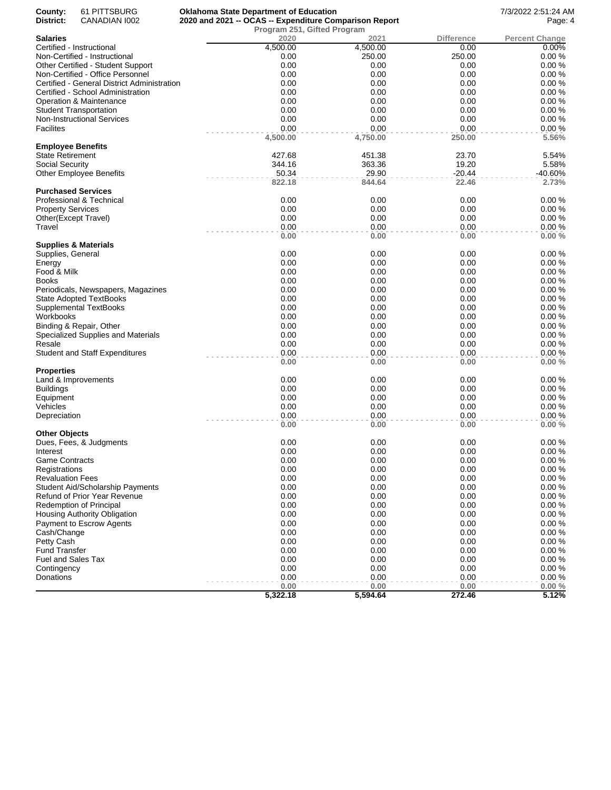| County:                   | 61 PITTSBURG                                | <b>Oklahoma State Department of Education</b>          |          |                   | 7/3/2022 2:51:24 AM   |
|---------------------------|---------------------------------------------|--------------------------------------------------------|----------|-------------------|-----------------------|
| District:                 | CANADIAN 1002                               | 2020 and 2021 -- OCAS -- Expenditure Comparison Report | Page: 4  |                   |                       |
|                           |                                             | Program 251, Gifted Program                            |          |                   |                       |
| Salaries                  |                                             | 2020                                                   | 2021     | <b>Difference</b> | <b>Percent Change</b> |
|                           | Certified - Instructional                   | 4,500.00                                               | 4,500.00 | 0.00              | 0.00%                 |
|                           | Non-Certified - Instructional               | 0.00                                                   | 250.00   | 250.00            | 0.00%                 |
|                           | Other Certified - Student Support           | 0.00                                                   | 0.00     | 0.00              | 0.00%                 |
|                           | Non-Certified - Office Personnel            | 0.00                                                   | 0.00     | 0.00              | 0.00%                 |
|                           | Certified - General District Administration | 0.00                                                   | 0.00     | 0.00              | 0.00%                 |
|                           | Certified - School Administration           | 0.00                                                   | 0.00     | 0.00              | 0.00%                 |
|                           | Operation & Maintenance                     | 0.00                                                   | 0.00     | 0.00              | 0.00%                 |
|                           | <b>Student Transportation</b>               | 0.00                                                   | 0.00     | 0.00              | 0.00%                 |
|                           | Non-Instructional Services                  | 0.00                                                   | 0.00     | 0.00              | 0.00%                 |
| Facilites                 |                                             | 0.00                                                   | 0.00     | 0.00              | 0.00%                 |
|                           |                                             | 4,500.00                                               | 4,750.00 | 250.00            | 5.56%                 |
| <b>Employee Benefits</b>  |                                             |                                                        |          |                   |                       |
| State Retirement          |                                             | 427.68                                                 | 451.38   | 23.70             | 5.54%                 |
| Social Security           |                                             | 344.16                                                 | 363.36   | 19.20             | 5.58%                 |
|                           | Other Employee Benefits                     | 50.34                                                  | 29.90    | -20.44            | $-40.60%$             |
|                           |                                             | 822.18                                                 | 844.64   | 22.46             | 2.73%                 |
| <b>Purchased Services</b> |                                             |                                                        |          |                   |                       |
|                           | Professional & Technical                    | 0.00                                                   | 0.00     | 0.00              | 0.00%                 |
| <b>Property Services</b>  |                                             | 0.00                                                   | 0.00     | 0.00              | 0.00%                 |
| Other(Except Travel)      |                                             | 0.00                                                   | 0.00     | 0.00              | 0.00%                 |
| Travel                    |                                             | 0.00                                                   | 0.00     | 0.00              | 0.00%                 |
|                           |                                             | 0.00                                                   | 0.00     | 0.00              | 0.00%                 |
|                           | Supplies & Materials                        |                                                        |          |                   |                       |
| Supplies, General         |                                             | 0.00                                                   | 0.00     | 0.00              | 0.00%                 |
| Energy                    |                                             | 0.00                                                   | 0.00     | 0.00              | 0.00%                 |
| Food & Milk               |                                             | 0.00                                                   | 0.00     | 0.00              | 0.00%                 |
| Books                     |                                             | 0.00                                                   | 0.00     | 0.00              | 0.00%                 |
|                           |                                             |                                                        |          |                   | 0.00%                 |
|                           | Periodicals, Newspapers, Magazines          | 0.00                                                   | 0.00     | 0.00              |                       |
|                           | <b>State Adopted TextBooks</b>              | 0.00                                                   | 0.00     | 0.00              | 0.00%                 |
|                           | Supplemental TextBooks                      | 0.00                                                   | 0.00     | 0.00              | 0.00%                 |
| Workbooks                 |                                             | 0.00                                                   | 0.00     | 0.00              | 0.00%                 |
|                           | Binding & Repair, Other                     | 0.00                                                   | 0.00     | 0.00              | 0.00%                 |
|                           | Specialized Supplies and Materials          | 0.00                                                   | 0.00     | 0.00              | 0.00%                 |
| Resale                    |                                             | 0.00                                                   | 0.00     | 0.00              | 0.00%                 |
|                           | <b>Student and Staff Expenditures</b>       | 0.00                                                   | 0.00     | 0.00              | 0.00%                 |
|                           |                                             | 0.00                                                   | 0.00     | 0.00              | 0.00%                 |
| Properties                |                                             |                                                        |          |                   |                       |
|                           | Land & Improvements                         | 0.00                                                   | 0.00     | 0.00              | 0.00%                 |
| <b>Buildings</b>          |                                             | 0.00                                                   | 0.00     | 0.00              | 0.00%                 |
| Equipment                 |                                             | 0.00                                                   | 0.00     | 0.00              | 0.00%                 |
| Vehicles                  |                                             | 0.00                                                   | 0.00     | 0.00              | 0.00%                 |
| Depreciation              |                                             | 0.00                                                   | 0.00     | 0.00              | 0.00%                 |
|                           |                                             | 0.00                                                   | 0.00     | 0.00              | 0.00%                 |
| Other Objects             |                                             |                                                        |          |                   |                       |
|                           | Dues, Fees, & Judgments                     | 0.00                                                   | 0.00     | 0.00              | 0.00%                 |
| Interest                  |                                             | 0.00                                                   | 0.00     | 0.00              | 0.00%                 |
| <b>Game Contracts</b>     |                                             | 0.00                                                   | 0.00     | 0.00              | 0.00%                 |
| Registrations             |                                             | 0.00                                                   | 0.00     | 0.00              | 0.00%                 |
| <b>Revaluation Fees</b>   |                                             | 0.00                                                   | 0.00     | 0.00              | 0.00%                 |
|                           | Student Aid/Scholarship Payments            | 0.00                                                   | 0.00     | 0.00              | 0.00%                 |
|                           |                                             | 0.00                                                   |          | 0.00              | 0.00%                 |
|                           | Refund of Prior Year Revenue                |                                                        | 0.00     |                   |                       |
|                           | Redemption of Principal                     | 0.00                                                   | 0.00     | 0.00              | 0.00%                 |
|                           | Housing Authority Obligation                | 0.00                                                   | 0.00     | 0.00              | 0.00%                 |
|                           | Payment to Escrow Agents                    | 0.00                                                   | 0.00     | 0.00              | 0.00%                 |
| Cash/Change               |                                             | 0.00                                                   | 0.00     | 0.00              | 0.00%                 |
| Petty Cash                |                                             | 0.00                                                   | 0.00     | 0.00              | 0.00%                 |
| <b>Fund Transfer</b>      |                                             | 0.00                                                   | 0.00     | 0.00              | 0.00%                 |
| Fuel and Sales Tax        |                                             | 0.00                                                   | 0.00     | 0.00              | 0.00%                 |
| Contingency               |                                             | 0.00                                                   | 0.00     | 0.00              | 0.00%                 |
| Donations                 |                                             | 0.00                                                   | 0.00     | 0.00              | 0.00%                 |
|                           |                                             | 0.00                                                   | 0.00     | 0.00              | 0.00%                 |
|                           |                                             | 5,322.18                                               | 5,594.64 | 272.46            | 5.12%                 |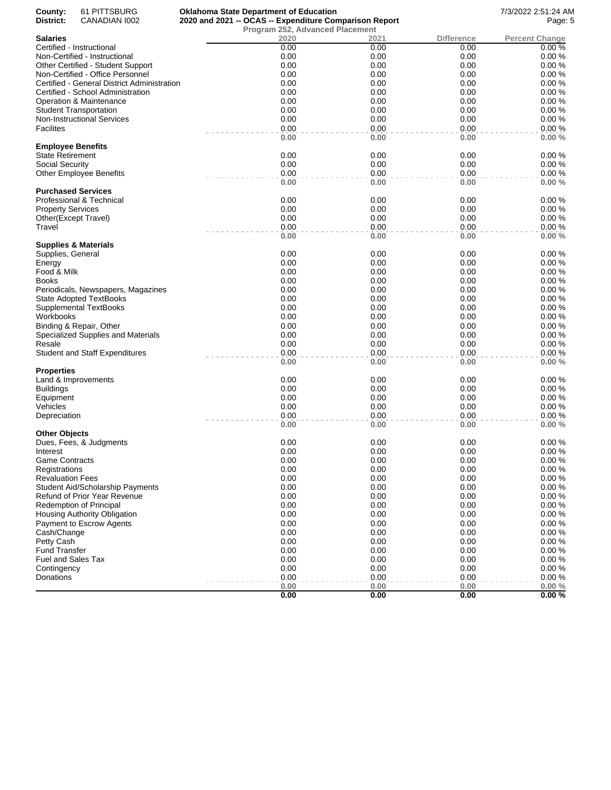| County:<br>District:     | 61 PITTSBURG<br>CANADIAN 1002               | <b>Oklahoma State Department of Education</b><br>2020 and 2021 -- OCAS -- Expenditure Comparison Report |              |              | 7/3/2022 2:51:24 AM<br>Page: 5 |
|--------------------------|---------------------------------------------|---------------------------------------------------------------------------------------------------------|--------------|--------------|--------------------------------|
|                          |                                             | <b>Program 252, Advanced Placement</b>                                                                  |              |              |                                |
| <b>Salaries</b>          |                                             | 2020                                                                                                    | 2021         | Difference   | <b>Percent Change</b>          |
|                          | Certified - Instructional                   | 0.00                                                                                                    | 0.00         | 0.00         | 0.00%                          |
|                          | Non-Certified - Instructional               | 0.00                                                                                                    | 0.00         | 0.00         | 0.00%                          |
|                          | Other Certified - Student Support           | 0.00                                                                                                    | 0.00         | 0.00         | 0.00%                          |
|                          | Non-Certified - Office Personnel            | 0.00                                                                                                    | 0.00         | 0.00         | 0.00%                          |
|                          | Certified - General District Administration | 0.00                                                                                                    | 0.00         | 0.00         | 0.00%                          |
|                          | Certified - School Administration           | 0.00                                                                                                    | 0.00         | 0.00         | 0.00%                          |
|                          | Operation & Maintenance                     | 0.00                                                                                                    | 0.00         | 0.00         | 0.00%                          |
|                          | <b>Student Transportation</b>               | 0.00                                                                                                    | 0.00         | 0.00         | 0.00%                          |
|                          | <b>Non-Instructional Services</b>           | 0.00                                                                                                    | 0.00         | 0.00         | 0.00%                          |
| Facilites                |                                             | 0.00<br>0.00                                                                                            | 0.00<br>0.00 | 0.00<br>0.00 | 0.00%<br>0.00%                 |
| <b>Employee Benefits</b> |                                             |                                                                                                         |              |              |                                |
| State Retirement         |                                             | 0.00                                                                                                    | 0.00         | 0.00         | 0.00%                          |
| Social Security          |                                             | 0.00                                                                                                    | 0.00         | 0.00         | 0.00%                          |
|                          | <b>Other Employee Benefits</b>              | 0.00                                                                                                    | 0.00         | 0.00         | 0.00%                          |
|                          |                                             | 0.00                                                                                                    | 0.00         | 0.00         | 0.00%                          |
|                          | <b>Purchased Services</b>                   |                                                                                                         |              |              |                                |
|                          | Professional & Technical                    | 0.00                                                                                                    | 0.00         | 0.00         | 0.00%                          |
| <b>Property Services</b> |                                             | 0.00                                                                                                    | 0.00         | 0.00         | 0.00%                          |
|                          | Other(Except Travel)                        | 0.00                                                                                                    | 0.00         | 0.00         | 0.00%                          |
| Travel                   |                                             | 0.00                                                                                                    | 0.00         | 0.00         | 0.00%                          |
|                          |                                             | 0.00                                                                                                    | 0.00         | 0.00         | 0.00%                          |
| Supplies, General        | Supplies & Materials                        | 0.00                                                                                                    | 0.00         | 0.00         | 0.00%                          |
| Energy                   |                                             | 0.00                                                                                                    | 0.00         | 0.00         | 0.00%                          |
| Food & Milk              |                                             | 0.00                                                                                                    | 0.00         | 0.00         | 0.00%                          |
| Books                    |                                             | 0.00                                                                                                    | 0.00         | 0.00         | 0.00%                          |
|                          | Periodicals, Newspapers, Magazines          | 0.00                                                                                                    | 0.00         | 0.00         | 0.00%                          |
|                          | State Adopted TextBooks                     | 0.00                                                                                                    | 0.00         | 0.00         | 0.00%                          |
|                          | <b>Supplemental TextBooks</b>               | 0.00                                                                                                    | 0.00         | 0.00         | 0.00%                          |
| Workbooks                |                                             | 0.00                                                                                                    | 0.00         | 0.00         | 0.00%                          |
|                          | Binding & Repair, Other                     | 0.00                                                                                                    | 0.00         | 0.00         | 0.00%                          |
|                          | Specialized Supplies and Materials          | 0.00                                                                                                    | 0.00         | 0.00         | 0.00%                          |
| Resale                   |                                             | 0.00                                                                                                    | 0.00         | 0.00         | 0.00%                          |
|                          | <b>Student and Staff Expenditures</b>       | 0.00                                                                                                    | 0.00         | 0.00         | 0.00%                          |
|                          |                                             | 0.00                                                                                                    | 0.00         | 0.00         | 0.00%                          |
| Properties               |                                             |                                                                                                         |              |              |                                |
|                          | Land & Improvements                         | 0.00                                                                                                    | 0.00         | 0.00         | 0.00%                          |
| <b>Buildings</b>         |                                             | 0.00                                                                                                    | 0.00         | 0.00         | 0.00%                          |
| Equipment                |                                             | 0.00                                                                                                    | 0.00         | 0.00         | 0.00%                          |
| Vehicles                 |                                             | 0.00<br>0.00                                                                                            | 0.00<br>0.00 | 0.00<br>0.00 | 0.00%<br>0.00%                 |
| Depreciation             |                                             | 0.00                                                                                                    | 0.00         | 0.00         | 0.00%                          |
| Other Objects            |                                             |                                                                                                         |              |              |                                |
|                          | Dues, Fees, & Judgments                     | 0.00                                                                                                    | 0.00         | 0.00         | 0.00%                          |
| Interest                 |                                             | 0.00                                                                                                    | 0.00         | 0.00         | 0.00%                          |
| Game Contracts           |                                             | 0.00                                                                                                    | 0.00         | 0.00         | 0.00%                          |
| Registrations            |                                             | 0.00                                                                                                    | 0.00         | 0.00         | 0.00%                          |
| <b>Revaluation Fees</b>  |                                             | 0.00                                                                                                    | 0.00         | 0.00         | 0.00%                          |
|                          | <b>Student Aid/Scholarship Payments</b>     | 0.00                                                                                                    | 0.00         | 0.00         | 0.00%                          |
|                          | <b>Refund of Prior Year Revenue</b>         | 0.00                                                                                                    | 0.00         | 0.00         | 0.00%                          |
|                          | Redemption of Principal                     | 0.00                                                                                                    | 0.00         | 0.00         | 0.00%                          |
|                          | Housing Authority Obligation                | 0.00                                                                                                    | 0.00         | 0.00         | 0.00%                          |
|                          | Payment to Escrow Agents                    | 0.00                                                                                                    | 0.00         | 0.00         | 0.00%                          |
| Cash/Change              |                                             | 0.00                                                                                                    | 0.00         | 0.00         | 0.00%                          |
| Petty Cash               |                                             | 0.00                                                                                                    | 0.00         | 0.00         | 0.00%                          |
| Fund Transfer            |                                             | 0.00                                                                                                    | 0.00         | 0.00         | 0.00%                          |
| Fuel and Sales Tax       |                                             | 0.00                                                                                                    | 0.00         | 0.00         | 0.00%                          |
| Contingency              |                                             | 0.00                                                                                                    | 0.00         | 0.00         | 0.00%                          |
| Donations                |                                             | 0.00                                                                                                    | 0.00         | 0.00         | 0.00%                          |
|                          |                                             | 0.00                                                                                                    | 0.00         | 0.00         | 0.00%<br>0.00%                 |
|                          |                                             | 0.00                                                                                                    | 0.00         | 0.00         |                                |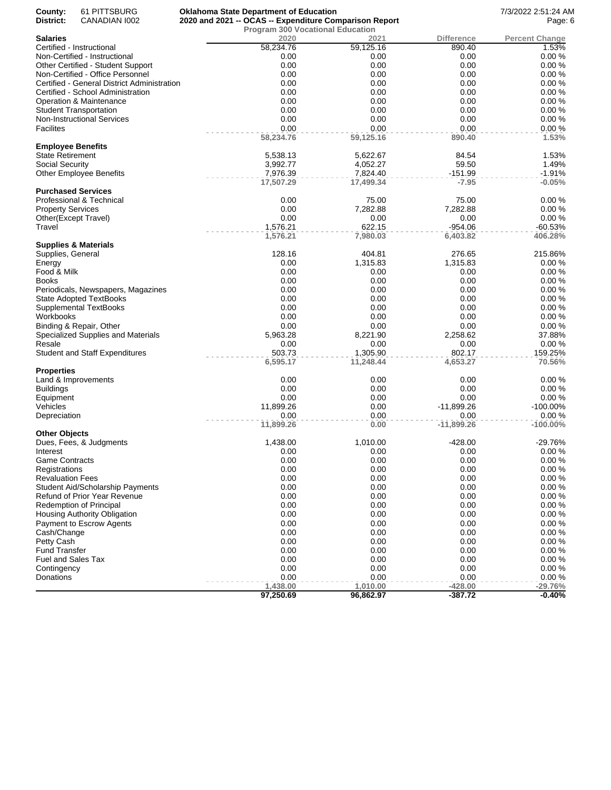| County:<br>District:      | 61 PITTSBURG<br>CANADIAN 1002                                      | <b>Oklahoma State Department of Education</b><br>2020 and 2021 -- OCAS -- Expenditure Comparison Report |                  |                   | 7/3/2022 2:51:24 AM<br>Page: 6 |
|---------------------------|--------------------------------------------------------------------|---------------------------------------------------------------------------------------------------------|------------------|-------------------|--------------------------------|
|                           |                                                                    | <b>Program 300 Vocational Education</b>                                                                 |                  |                   |                                |
| <b>Salaries</b>           |                                                                    | 2020                                                                                                    | 2021             | <b>Difference</b> | <b>Percent Change</b>          |
|                           | Certified - Instructional                                          | 58,234.76                                                                                               | 59,125.16        | 890.40            | 1.53%                          |
|                           | Non-Certified - Instructional                                      | 0.00                                                                                                    | 0.00             | 0.00              | 0.00%                          |
|                           | Other Certified - Student Support                                  | 0.00                                                                                                    | 0.00             | 0.00              | 0.00%                          |
|                           | Non-Certified - Office Personnel                                   | 0.00                                                                                                    | 0.00             | 0.00              | 0.00%                          |
|                           | Certified - General District Administration                        | 0.00                                                                                                    | 0.00             | 0.00              | 0.00%                          |
|                           | Certified - School Administration                                  | 0.00                                                                                                    | 0.00             | 0.00              | 0.00%                          |
|                           | Operation & Maintenance                                            | 0.00<br>0.00                                                                                            | 0.00<br>0.00     | 0.00<br>0.00      | 0.00%<br>0.00%                 |
|                           | <b>Student Transportation</b><br><b>Non-Instructional Services</b> | 0.00                                                                                                    | 0.00             | 0.00              | 0.00%                          |
| <b>Facilites</b>          |                                                                    | 0.00                                                                                                    | 0.00             | 0.00              | 0.00%                          |
|                           |                                                                    | 58,234.76                                                                                               | 59,125.16        | 890.40            | 1.53%                          |
| <b>Employee Benefits</b>  |                                                                    |                                                                                                         |                  |                   |                                |
| <b>State Retirement</b>   |                                                                    | 5,538.13                                                                                                | 5,622.67         | 84.54             | 1.53%                          |
| Social Security           |                                                                    | 3,992.77                                                                                                | 4,052.27         | 59.50             | 1.49%                          |
|                           | <b>Other Employee Benefits</b>                                     | 7,976.39                                                                                                | 7,824.40         | $-151.99$         | $-1.91%$                       |
|                           |                                                                    | 17,507.29                                                                                               | 17,499.34        | $-7.95$           | $-0.05%$                       |
|                           | <b>Purchased Services</b>                                          |                                                                                                         |                  |                   |                                |
|                           | Professional & Technical                                           | 0.00                                                                                                    | 75.00            | 75.00             | 0.00%                          |
| <b>Property Services</b>  |                                                                    | 0.00                                                                                                    | 7,282.88         | 7,282.88          | 0.00%                          |
|                           | Other(Except Travel)                                               | 0.00                                                                                                    | 0.00             | 0.00              | 0.00%                          |
| Travel                    |                                                                    | 1,576.21                                                                                                | 622.15           | -954.06           | -60.53%                        |
|                           |                                                                    | 1,576.21                                                                                                | 7,980.03         | 6,403.82          | 406.28%                        |
|                           | <b>Supplies &amp; Materials</b>                                    |                                                                                                         |                  |                   |                                |
| Supplies, General         |                                                                    | 128.16                                                                                                  | 404.81           | 276.65            | 215.86%                        |
| Energy<br>Food & Milk     |                                                                    | 0.00<br>0.00                                                                                            | 1,315.83<br>0.00 | 1,315.83<br>0.00  | 0.00%<br>0.00%                 |
| <b>Books</b>              |                                                                    | 0.00                                                                                                    | 0.00             | 0.00              | 0.00%                          |
|                           | Periodicals, Newspapers, Magazines                                 | 0.00                                                                                                    | 0.00             | 0.00              | 0.00%                          |
|                           | <b>State Adopted TextBooks</b>                                     | 0.00                                                                                                    | 0.00             | 0.00              | 0.00%                          |
|                           | Supplemental TextBooks                                             | 0.00                                                                                                    | 0.00             | 0.00              | 0.00%                          |
| Workbooks                 |                                                                    | 0.00                                                                                                    | 0.00             | 0.00              | 0.00%                          |
|                           | Binding & Repair, Other                                            | 0.00                                                                                                    | 0.00             | 0.00              | 0.00%                          |
|                           | Specialized Supplies and Materials                                 | 5,963.28                                                                                                | 8,221.90         | 2,258.62          | 37.88%                         |
| Resale                    |                                                                    | 0.00                                                                                                    | 0.00             | 0.00              | 0.00%                          |
|                           | <b>Student and Staff Expenditures</b>                              | 503.73                                                                                                  | 1,305.90         | 802.17            | 159.25%                        |
|                           |                                                                    | 6,595.17                                                                                                | 11,248.44        | 4,653.27          | 70.56%                         |
| <b>Properties</b>         |                                                                    |                                                                                                         |                  |                   |                                |
|                           | Land & Improvements                                                | 0.00                                                                                                    | 0.00             | 0.00              | 0.00%                          |
| <b>Buildings</b>          |                                                                    | 0.00                                                                                                    | 0.00             | 0.00              | 0.00%                          |
| Equipment                 |                                                                    | 0.00                                                                                                    | 0.00             | 0.00              | 0.00%                          |
| Vehicles                  |                                                                    | 11,899.26                                                                                               | 0.00             | -11,899.26        | -100.00%                       |
| Depreciation              |                                                                    | 0.00                                                                                                    | 0.00             | 0.00              | 0.00%                          |
|                           |                                                                    | 11,899.26                                                                                               | 0.00             | $-11,899.26$      | $-100.00\%$                    |
| <b>Other Objects</b>      | Dues, Fees, & Judgments                                            | 1,438.00                                                                                                | 1,010.00         | $-428.00$         | $-29.76%$                      |
| Interest                  |                                                                    | 0.00                                                                                                    | 0.00             | 0.00              | 0.00%                          |
| <b>Game Contracts</b>     |                                                                    | 0.00                                                                                                    | 0.00             | 0.00              | 0.00%                          |
| Registrations             |                                                                    | 0.00                                                                                                    | 0.00             | 0.00              | 0.00%                          |
| <b>Revaluation Fees</b>   |                                                                    | 0.00                                                                                                    | 0.00             | 0.00              | 0.00%                          |
|                           | <b>Student Aid/Scholarship Payments</b>                            | 0.00                                                                                                    | 0.00             | 0.00              | 0.00%                          |
|                           | Refund of Prior Year Revenue                                       | 0.00                                                                                                    | 0.00             | 0.00              | 0.00%                          |
|                           | <b>Redemption of Principal</b>                                     | 0.00                                                                                                    | 0.00             | 0.00              | 0.00%                          |
|                           | Housing Authority Obligation                                       | 0.00                                                                                                    | 0.00             | 0.00              | 0.00%                          |
|                           | Payment to Escrow Agents                                           | 0.00                                                                                                    | 0.00             | 0.00              | 0.00%                          |
| Cash/Change               |                                                                    | 0.00                                                                                                    | 0.00             | 0.00              | 0.00%                          |
| Petty Cash                |                                                                    | 0.00                                                                                                    | 0.00             | 0.00              | 0.00%                          |
| <b>Fund Transfer</b>      |                                                                    | 0.00                                                                                                    | 0.00             | 0.00              | 0.00%                          |
| <b>Fuel and Sales Tax</b> |                                                                    | 0.00                                                                                                    | 0.00             | 0.00              | 0.00%                          |
| Contingency               |                                                                    | 0.00                                                                                                    | 0.00             | 0.00              | 0.00%                          |
| Donations                 |                                                                    | 0.00                                                                                                    | 0.00             | 0.00              | 0.00%                          |
|                           |                                                                    | 1,438.00                                                                                                | 1,010.00         | $-428.00$         | $-29.76%$                      |
|                           |                                                                    | 97,250.69                                                                                               | 96,862.97        | $-387.72$         | $-0.40%$                       |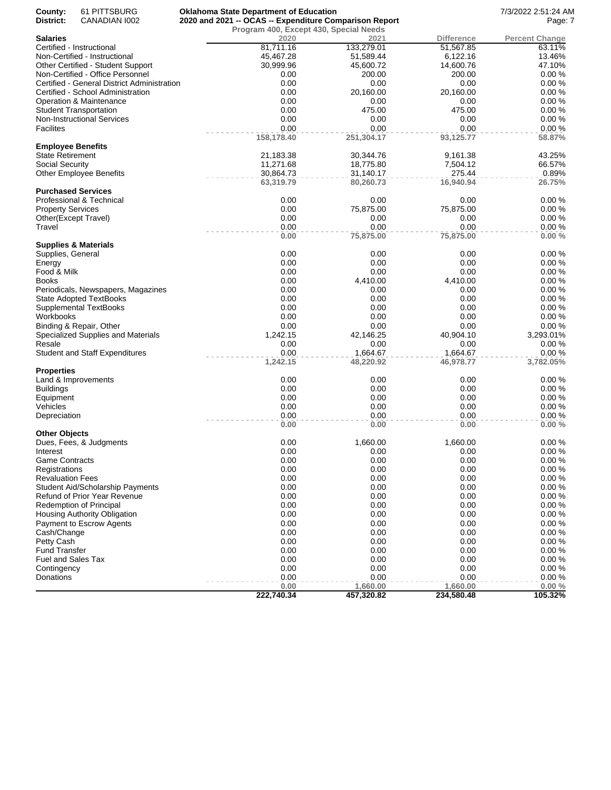| County:<br>District:     | 61 PITTSBURG<br>CANADIAN 1002               | <b>Oklahoma State Department of Education</b><br>2020 and 2021 -- OCAS -- Expenditure Comparison Report |            | 7/3/2022 2:51:24 AM<br>Page: 7 |                       |
|--------------------------|---------------------------------------------|---------------------------------------------------------------------------------------------------------|------------|--------------------------------|-----------------------|
|                          |                                             | Program 400, Except 430, Special Needs                                                                  |            |                                |                       |
| Salaries                 |                                             | 2020                                                                                                    | 2021       | <b>Difference</b>              | <b>Percent Change</b> |
|                          | Certified - Instructional                   | 81,711.16                                                                                               | 133,279.01 | 51,567.85                      | 63.11%                |
|                          | Non-Certified - Instructional               | 45,467.28                                                                                               | 51,589.44  | 6,122.16                       | 13.46%                |
|                          | Other Certified - Student Support           | 30,999.96                                                                                               | 45,600.72  | 14,600.76                      | 47.10%                |
|                          | Non-Certified - Office Personnel            | 0.00                                                                                                    | 200.00     | 200.00                         | 0.00%                 |
|                          | Certified - General District Administration | 0.00                                                                                                    | 0.00       | 0.00                           | 0.00%                 |
|                          | Certified - School Administration           | 0.00                                                                                                    | 20,160.00  | 20,160.00                      | 0.00%                 |
|                          | Operation & Maintenance                     | 0.00                                                                                                    | 0.00       | 0.00                           | 0.00%                 |
|                          | <b>Student Transportation</b>               | 0.00                                                                                                    | 475.00     | 475.00                         | 0.00%                 |
|                          |                                             | 0.00                                                                                                    | 0.00       | 0.00                           | 0.00%                 |
|                          | <b>Non-Instructional Services</b>           |                                                                                                         |            |                                |                       |
| <b>Facilites</b>         |                                             | 0.00                                                                                                    | 0.00       | 0.00                           | 0.00%                 |
|                          |                                             | 158,178.40                                                                                              | 251,304.17 | 93,125.77                      | 58.87%                |
| <b>Employee Benefits</b> |                                             |                                                                                                         |            |                                |                       |
| <b>State Retirement</b>  |                                             | 21,183.38                                                                                               | 30,344.76  | 9,161.38                       | 43.25%                |
| Social Security          |                                             | 11,271.68                                                                                               | 18,775.80  | 7,504.12                       | 66.57%                |
|                          | <b>Other Employee Benefits</b>              | 30,864.73                                                                                               | 31,140.17  | 275.44                         | 0.89%                 |
|                          |                                             | 63,319.79                                                                                               | 80,260.73  | 16,940.94                      | 26.75%                |
|                          | <b>Purchased Services</b>                   |                                                                                                         |            |                                |                       |
|                          | Professional & Technical                    | 0.00                                                                                                    | 0.00       | 0.00                           | 0.00%                 |
| <b>Property Services</b> |                                             | 0.00                                                                                                    | 75,875.00  | 75,875.00                      | 0.00%                 |
|                          | Other(Except Travel)                        | 0.00                                                                                                    | 0.00       | 0.00                           | 0.00%                 |
| Travel                   |                                             | 0.00                                                                                                    | 0.00       | 0.00                           | 0.00%                 |
|                          |                                             | 0.00                                                                                                    | 75,875.00  | 75,875.00                      | 0.00%                 |
|                          | <b>Supplies &amp; Materials</b>             |                                                                                                         |            |                                |                       |
| Supplies, General        |                                             | 0.00                                                                                                    | 0.00       | 0.00                           | 0.00%                 |
| Energy                   |                                             | 0.00                                                                                                    | 0.00       | 0.00                           | 0.00%                 |
| Food & Milk              |                                             | 0.00                                                                                                    | 0.00       | 0.00                           | 0.00%                 |
| <b>Books</b>             |                                             | 0.00                                                                                                    | 4,410.00   | 4,410.00                       | 0.00%                 |
|                          | Periodicals, Newspapers, Magazines          | 0.00                                                                                                    | 0.00       | 0.00                           | 0.00%                 |
|                          | <b>State Adopted TextBooks</b>              | 0.00                                                                                                    | 0.00       | 0.00                           | 0.00%                 |
|                          | Supplemental TextBooks                      | 0.00                                                                                                    | 0.00       | 0.00                           | 0.00%                 |
| Workbooks                |                                             | 0.00                                                                                                    | 0.00       | 0.00                           | 0.00%                 |
|                          | Binding & Repair, Other                     | 0.00                                                                                                    | 0.00       | 0.00                           | 0.00%                 |
|                          | Specialized Supplies and Materials          | 1,242.15                                                                                                | 42,146.25  | 40,904.10                      | 3,293.01%             |
| Resale                   |                                             | 0.00                                                                                                    | 0.00       | 0.00                           | 0.00%                 |
|                          | <b>Student and Staff Expenditures</b>       | 0.00                                                                                                    | 1,664.67   | 1,664.67                       | 0.00%                 |
|                          |                                             | 1,242.15                                                                                                | 48,220.92  | 46,978.77                      | 3,782.05%             |
| <b>Properties</b>        |                                             |                                                                                                         |            |                                |                       |
|                          | Land & Improvements                         | 0.00                                                                                                    | 0.00       | 0.00                           | 0.00%                 |
| <b>Buildings</b>         |                                             | 0.00                                                                                                    | 0.00       | 0.00                           | 0.00%                 |
| Equipment                |                                             | 0.00                                                                                                    | 0.00       | 0.00                           | 0.00%                 |
| Vehicles                 |                                             | 0.00                                                                                                    | 0.00       | 0.00                           | 0.00%                 |
| Depreciation             |                                             | 0.00                                                                                                    | 0.00       | 0.00                           | 0.00%                 |
|                          |                                             | 0.00                                                                                                    | 0.00       | 0.00                           | 0.00%                 |
| <b>Other Objects</b>     |                                             |                                                                                                         |            |                                |                       |
|                          | Dues, Fees, & Judgments                     | 0.00                                                                                                    | 1,660.00   | 1,660.00                       | 0.00%                 |
| Interest                 |                                             | 0.00                                                                                                    | 0.00       | 0.00                           | $0.00 \%$             |
| <b>Game Contracts</b>    |                                             | 0.00                                                                                                    | 0.00       | 0.00                           | 0.00%                 |
| Registrations            |                                             | 0.00                                                                                                    | 0.00       | 0.00                           | 0.00%                 |
|                          |                                             | 0.00                                                                                                    | 0.00       | 0.00                           | 0.00%                 |
| <b>Revaluation Fees</b>  |                                             |                                                                                                         |            |                                |                       |
|                          | <b>Student Aid/Scholarship Payments</b>     | 0.00                                                                                                    | 0.00       | 0.00                           | 0.00%                 |
|                          | Refund of Prior Year Revenue                | 0.00                                                                                                    | 0.00       | 0.00                           | 0.00%                 |
|                          | <b>Redemption of Principal</b>              | 0.00                                                                                                    | 0.00       | 0.00                           | 0.00%                 |
|                          | Housing Authority Obligation                | 0.00                                                                                                    | 0.00       | 0.00                           | 0.00%                 |
|                          | Payment to Escrow Agents                    | 0.00                                                                                                    | 0.00       | 0.00                           | 0.00%                 |
| Cash/Change              |                                             | 0.00                                                                                                    | 0.00       | 0.00                           | 0.00%                 |
| Petty Cash               |                                             | 0.00                                                                                                    | 0.00       | 0.00                           | 0.00%                 |
| <b>Fund Transfer</b>     |                                             | 0.00                                                                                                    | 0.00       | 0.00                           | 0.00%                 |
| Fuel and Sales Tax       |                                             | 0.00                                                                                                    | 0.00       | 0.00                           | 0.00%                 |
| Contingency              |                                             | 0.00                                                                                                    | 0.00       | 0.00                           | 0.00%                 |
| Donations                |                                             | 0.00                                                                                                    | 0.00       | 0.00                           | 0.00%                 |
|                          |                                             | 0.00                                                                                                    | 1,660.00   | 1,660.00                       | 0.00%                 |
|                          |                                             | 222,740.34                                                                                              | 457,320.82 | 234,580.48                     | 105.32%               |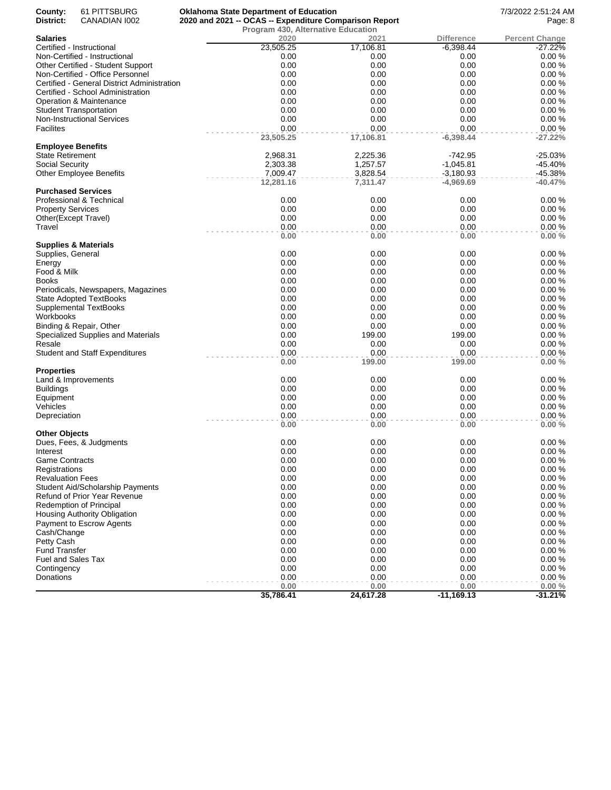| County:<br>61 PITTSBURG<br>District:<br>CANADIAN 1002      | <b>Oklahoma State Department of Education</b><br>2020 and 2021 -- OCAS -- Expenditure Comparison Report |                   |                     | 7/3/2022 2:51:24 AM<br>Page: 8     |
|------------------------------------------------------------|---------------------------------------------------------------------------------------------------------|-------------------|---------------------|------------------------------------|
|                                                            | <b>Program 430, Alternative Education</b>                                                               |                   |                     |                                    |
| Salaries                                                   | 2020                                                                                                    | 2021              | <b>Difference</b>   | <b>Percent Change</b><br>$-27.22%$ |
| Certified - Instructional<br>Non-Certified - Instructional | 23,505.25<br>0.00                                                                                       | 17,106.81<br>0.00 | $-6,398.44$<br>0.00 | 0.00%                              |
| Other Certified - Student Support                          | 0.00                                                                                                    | 0.00              | 0.00                | 0.00%                              |
| Non-Certified - Office Personnel                           | 0.00                                                                                                    | 0.00              | 0.00                | 0.00%                              |
| Certified - General District Administration                | 0.00                                                                                                    | 0.00              | 0.00                | 0.00%                              |
| Certified - School Administration                          | 0.00                                                                                                    | 0.00              | 0.00                | 0.00%                              |
| <b>Operation &amp; Maintenance</b>                         | 0.00                                                                                                    | 0.00              | 0.00                | 0.00%                              |
| <b>Student Transportation</b>                              | 0.00                                                                                                    | 0.00              | 0.00                | 0.00%                              |
| Non-Instructional Services                                 | 0.00                                                                                                    | 0.00              | 0.00                | 0.00%                              |
| Facilites                                                  | 0.00                                                                                                    | 0.00              | 0.00                | 0.00%                              |
|                                                            | 23,505.25                                                                                               | 17,106.81         | $-6,398.44$         | $-27.22%$                          |
| <b>Employee Benefits</b>                                   |                                                                                                         |                   |                     |                                    |
| State Retirement                                           | 2,968.31                                                                                                | 2,225.36          | -742.95             | $-25.03%$                          |
| Social Security                                            | 2,303.38                                                                                                | 1,257.57          | $-1,045.81$         | $-45.40%$                          |
| <b>Other Employee Benefits</b>                             | 7,009.47                                                                                                | 3,828.54          | $-3,180.93$         | -45.38%                            |
|                                                            | 12,281.16                                                                                               | 7,311.47          | $-4,969.69$         | $-40.47%$                          |
| <b>Purchased Services</b>                                  |                                                                                                         |                   |                     |                                    |
| Professional & Technical                                   | 0.00                                                                                                    | 0.00              | 0.00                | 0.00%                              |
| <b>Property Services</b>                                   | 0.00                                                                                                    | 0.00              | 0.00                | 0.00%                              |
| Other(Except Travel)                                       | 0.00                                                                                                    | 0.00              | 0.00                | 0.00%                              |
| Travel                                                     | 0.00                                                                                                    | 0.00              | 0.00                | 0.00%                              |
|                                                            | 0.00                                                                                                    | 0.00              | 0.00                | 0.00%                              |
| <b>Supplies &amp; Materials</b>                            |                                                                                                         |                   |                     |                                    |
| Supplies, General                                          | 0.00                                                                                                    | 0.00              | 0.00                | 0.00%                              |
| Energy                                                     | 0.00                                                                                                    | 0.00              | 0.00                | 0.00%                              |
| Food & Milk                                                | 0.00                                                                                                    | 0.00              | 0.00                | 0.00%                              |
| Books                                                      | 0.00                                                                                                    | 0.00              | 0.00                | 0.00%                              |
| Periodicals, Newspapers, Magazines                         | 0.00                                                                                                    | 0.00              | 0.00                | 0.00%                              |
| <b>State Adopted TextBooks</b>                             | 0.00                                                                                                    | 0.00              | 0.00                | 0.00%                              |
| Supplemental TextBooks                                     | 0.00                                                                                                    | 0.00              | 0.00                | 0.00%                              |
| Workbooks                                                  | 0.00                                                                                                    | 0.00              | 0.00                | 0.00%                              |
| Binding & Repair, Other                                    | 0.00                                                                                                    | 0.00              | 0.00                | 0.00%                              |
| Specialized Supplies and Materials                         | 0.00                                                                                                    | 199.00            | 199.00              | 0.00%                              |
| Resale                                                     | 0.00                                                                                                    | 0.00              | 0.00                | 0.00%                              |
| <b>Student and Staff Expenditures</b>                      | 0.00                                                                                                    | 0.00              | 0.00                | 0.00%                              |
|                                                            | 0.00                                                                                                    | 199.00            | 199.00              | 0.00%                              |
| Properties                                                 |                                                                                                         |                   |                     |                                    |
| Land & Improvements                                        | 0.00                                                                                                    | 0.00              | 0.00                | 0.00%                              |
| <b>Buildings</b>                                           | 0.00                                                                                                    | 0.00              | 0.00                | 0.00%                              |
| Equipment                                                  | 0.00                                                                                                    | 0.00              | 0.00                | 0.00%                              |
| Vehicles                                                   | 0.00                                                                                                    | 0.00              | 0.00                | 0.00%                              |
| Depreciation                                               | 0.00<br>0.00                                                                                            | 0.00<br>0.00      | 0.00<br>0.00        | 0.00%<br>0.00%                     |
| Other Objects                                              |                                                                                                         |                   |                     |                                    |
| Dues, Fees, & Judgments                                    | 0.00                                                                                                    | 0.00              | 0.00                | 0.00%                              |
| Interest                                                   | 0.00                                                                                                    | 0.00              | 0.00                | $0.00 \%$                          |
| Game Contracts                                             | 0.00                                                                                                    | 0.00              | 0.00                | 0.00%                              |
| Registrations                                              | 0.00                                                                                                    | 0.00              | 0.00                | 0.00%                              |
| <b>Revaluation Fees</b>                                    | 0.00                                                                                                    | 0.00              | 0.00                | 0.00%                              |
| Student Aid/Scholarship Payments                           | 0.00                                                                                                    | 0.00              | 0.00                | 0.00%                              |
| Refund of Prior Year Revenue                               | 0.00                                                                                                    | 0.00              | 0.00                | 0.00%                              |
| <b>Redemption of Principal</b>                             | 0.00                                                                                                    | 0.00              | 0.00                | 0.00%                              |
| Housing Authority Obligation                               | 0.00                                                                                                    | 0.00              | 0.00                | 0.00%                              |
| Payment to Escrow Agents                                   | 0.00                                                                                                    | 0.00              | 0.00                | 0.00%                              |
| Cash/Change                                                | 0.00                                                                                                    | 0.00              | 0.00                | 0.00%                              |
| Petty Cash                                                 | 0.00                                                                                                    | 0.00              | 0.00                | 0.00%                              |
| <b>Fund Transfer</b>                                       | 0.00                                                                                                    | 0.00              | 0.00                | 0.00%                              |
| Fuel and Sales Tax                                         | 0.00                                                                                                    | 0.00              | 0.00                | 0.00%                              |
| Contingency                                                | 0.00                                                                                                    | 0.00              | 0.00                | 0.00%                              |
| Donations                                                  | 0.00                                                                                                    | 0.00              | 0.00                | 0.00%                              |
|                                                            | 0.00                                                                                                    | 0.00              | 0.00                | 0.00%                              |
|                                                            | 35,786.41                                                                                               | 24,617.28         | $-11,169.13$        | $-31.21%$                          |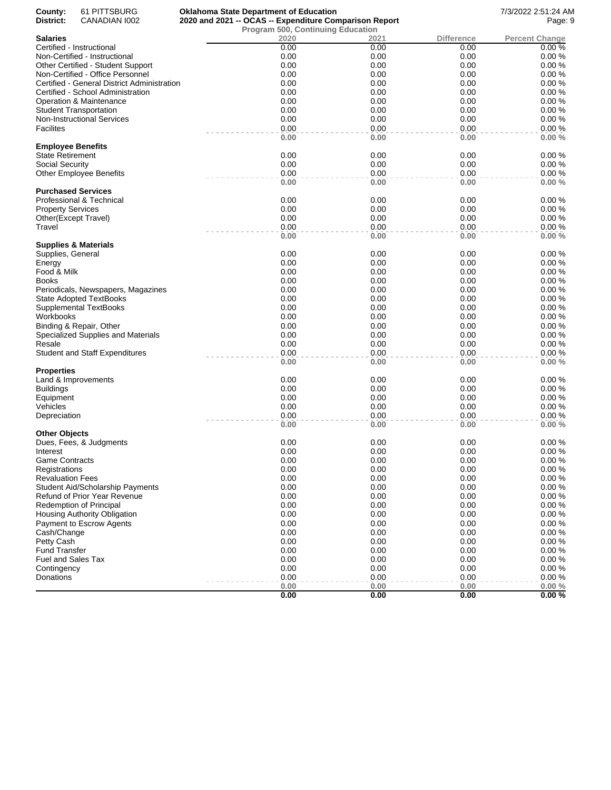| County:<br>District:     | 61 PITTSBURG<br>CANADIAN 1002               | <b>Oklahoma State Department of Education</b>                                                      |              |              |                   | 7/3/2022 2:51:24 AM<br>Page: 9 |
|--------------------------|---------------------------------------------|----------------------------------------------------------------------------------------------------|--------------|--------------|-------------------|--------------------------------|
|                          |                                             | 2020 and 2021 -- OCAS -- Expenditure Comparison Report<br><b>Program 500, Continuing Education</b> |              |              |                   |                                |
| <b>Salaries</b>          |                                             |                                                                                                    | 2020         | 2021         | <b>Difference</b> | <b>Percent Change</b>          |
|                          | Certified - Instructional                   |                                                                                                    | 0.00         | 0.00         | 0.00              | 0.00%                          |
|                          | Non-Certified - Instructional               |                                                                                                    | 0.00         | 0.00         | 0.00              | 0.00%                          |
|                          | Other Certified - Student Support           |                                                                                                    | 0.00         | 0.00         | 0.00              | 0.00%                          |
|                          | Non-Certified - Office Personnel            |                                                                                                    | 0.00         | 0.00         | 0.00              | 0.00%                          |
|                          | Certified - General District Administration |                                                                                                    | 0.00         | 0.00         | 0.00              | 0.00%                          |
|                          | Certified - School Administration           |                                                                                                    | 0.00         | 0.00         | 0.00              | 0.00%                          |
|                          | Operation & Maintenance                     |                                                                                                    | 0.00         | 0.00         | 0.00              | 0.00%                          |
|                          | <b>Student Transportation</b>               |                                                                                                    | 0.00         | 0.00         | 0.00              | 0.00%                          |
|                          |                                             |                                                                                                    | 0.00         | 0.00         | 0.00              | 0.00%                          |
| <b>Facilites</b>         | <b>Non-Instructional Services</b>           |                                                                                                    | 0.00         | 0.00         | 0.00              | 0.00%                          |
|                          |                                             |                                                                                                    | 0.00         | 0.00         | 0.00              | 0.00%                          |
| <b>Employee Benefits</b> |                                             |                                                                                                    |              |              |                   |                                |
| <b>State Retirement</b>  |                                             |                                                                                                    | 0.00         | 0.00         | 0.00              | 0.00%                          |
| Social Security          |                                             |                                                                                                    | 0.00         | 0.00         | 0.00              | 0.00%                          |
|                          | <b>Other Employee Benefits</b>              |                                                                                                    | 0.00         | 0.00         | 0.00              | 0.00%                          |
|                          |                                             |                                                                                                    | 0.00         | 0.00         | 0.00              | 0.00%                          |
|                          | <b>Purchased Services</b>                   |                                                                                                    |              |              |                   |                                |
|                          | Professional & Technical                    |                                                                                                    | 0.00         | 0.00         | 0.00              | 0.00%                          |
| <b>Property Services</b> |                                             |                                                                                                    | 0.00         | 0.00         | 0.00              | 0.00%                          |
|                          | Other(Except Travel)                        |                                                                                                    | 0.00         | 0.00         | 0.00              | 0.00%                          |
| Travel                   |                                             |                                                                                                    | 0.00         | 0.00         | 0.00              | 0.00%                          |
|                          | <b>Supplies &amp; Materials</b>             |                                                                                                    | 0.00         | 0.00         | 0.00              | 0.00%                          |
| Supplies, General        |                                             |                                                                                                    | 0.00         | 0.00         | 0.00              | 0.00%                          |
| Energy                   |                                             |                                                                                                    | 0.00         | 0.00         | 0.00              | 0.00%                          |
| Food & Milk              |                                             |                                                                                                    | 0.00         | 0.00         | 0.00              | 0.00%                          |
| <b>Books</b>             |                                             |                                                                                                    | 0.00         | 0.00         | 0.00              | 0.00%                          |
|                          |                                             |                                                                                                    | 0.00         | 0.00         | 0.00              | 0.00%                          |
|                          | Periodicals, Newspapers, Magazines          |                                                                                                    |              |              |                   |                                |
|                          | <b>State Adopted TextBooks</b>              |                                                                                                    | 0.00         | 0.00         | 0.00              | 0.00%                          |
|                          | Supplemental TextBooks                      |                                                                                                    | 0.00         | 0.00         | 0.00              | 0.00%                          |
| Workbooks                |                                             |                                                                                                    | 0.00         | 0.00         | 0.00              | 0.00%                          |
|                          | Binding & Repair, Other                     |                                                                                                    | 0.00         | 0.00         | 0.00              | 0.00%                          |
|                          | Specialized Supplies and Materials          |                                                                                                    | 0.00         | 0.00         | 0.00              | 0.00%                          |
| Resale                   |                                             |                                                                                                    | 0.00         | 0.00         | 0.00              | 0.00%                          |
|                          | <b>Student and Staff Expenditures</b>       |                                                                                                    | 0.00<br>0.00 | 0.00<br>0.00 | 0.00<br>0.00      | 0.00%<br>0.00%                 |
| <b>Properties</b>        |                                             |                                                                                                    |              |              |                   |                                |
|                          | Land & Improvements                         |                                                                                                    | 0.00         | 0.00         | 0.00              | 0.00%                          |
| <b>Buildings</b>         |                                             |                                                                                                    | 0.00         | 0.00         | 0.00              | 0.00%                          |
| Equipment                |                                             |                                                                                                    | 0.00         | 0.00         | 0.00              | 0.00%                          |
| Vehicles                 |                                             |                                                                                                    | 0.00         | 0.00         | 0.00              | 0.00%                          |
| Depreciation             |                                             |                                                                                                    | 0.00         | 0.00         | 0.00              | 0.00%                          |
|                          |                                             |                                                                                                    | 0.00         | 0.00         | 0.00              | 0.00%                          |
| Other Objects            |                                             |                                                                                                    |              |              |                   |                                |
|                          | Dues, Fees, & Judgments                     |                                                                                                    | 0.00         | 0.00         | 0.00              | 0.00%                          |
| Interest                 |                                             |                                                                                                    | 0.00         | 0.00         | 0.00              | 0.00%                          |
| <b>Game Contracts</b>    |                                             |                                                                                                    | 0.00         | 0.00         | 0.00              | 0.00%                          |
| Registrations            |                                             |                                                                                                    | 0.00         | 0.00         | 0.00              | 0.00%                          |
| <b>Revaluation Fees</b>  |                                             |                                                                                                    | 0.00         | 0.00         | 0.00              | 0.00%                          |
|                          | <b>Student Aid/Scholarship Payments</b>     |                                                                                                    | 0.00         | 0.00         | 0.00              | 0.00%                          |
|                          | Refund of Prior Year Revenue                |                                                                                                    | 0.00         | 0.00         | 0.00              | 0.00%                          |
|                          | <b>Redemption of Principal</b>              |                                                                                                    | 0.00         | 0.00         | 0.00              | 0.00%                          |
|                          | Housing Authority Obligation                |                                                                                                    | 0.00         | 0.00         | 0.00              | 0.00%                          |
|                          | Payment to Escrow Agents                    |                                                                                                    | 0.00         | 0.00         | 0.00              | 0.00%                          |
| Cash/Change              |                                             |                                                                                                    | 0.00         | 0.00         | 0.00              | 0.00%                          |
| Petty Cash               |                                             |                                                                                                    | 0.00         | 0.00         | 0.00              | 0.00%                          |
| <b>Fund Transfer</b>     |                                             |                                                                                                    | 0.00         | 0.00         | 0.00              | 0.00%                          |
| Fuel and Sales Tax       |                                             |                                                                                                    | 0.00         | 0.00         | 0.00              | 0.00%                          |
| Contingency              |                                             |                                                                                                    | 0.00         | 0.00         | 0.00              | 0.00%                          |
| Donations                |                                             |                                                                                                    | 0.00         | 0.00         | 0.00              | 0.00%                          |
|                          |                                             |                                                                                                    | 0.00         | 0.00         | 0.00              | 0.00%                          |
|                          |                                             |                                                                                                    | 0.00         | 0.00         | 0.00              | 0.00%                          |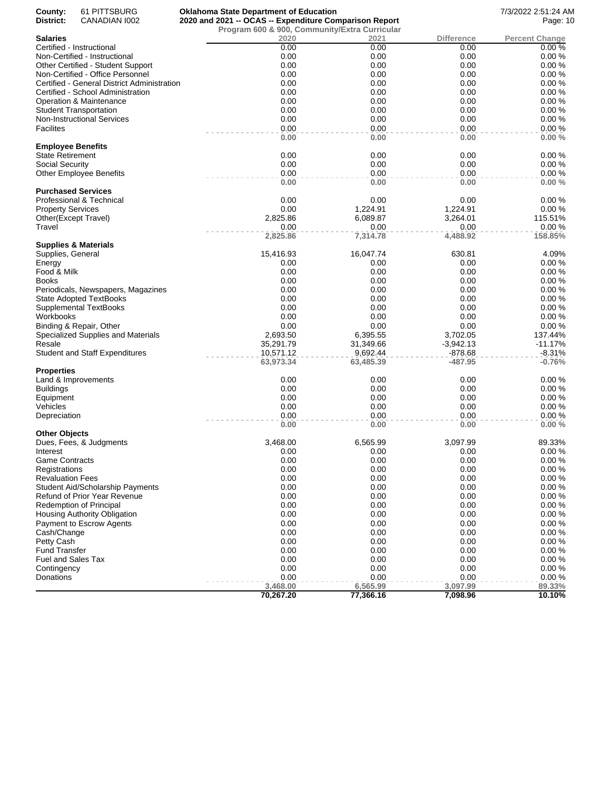| County:                   | 61 PITTSBURG                                | <b>Oklahoma State Department of Education</b>          |           |                   | 7/3/2022 2:51:24 AM   |
|---------------------------|---------------------------------------------|--------------------------------------------------------|-----------|-------------------|-----------------------|
| District:                 | CANADIAN 1002                               | 2020 and 2021 -- OCAS -- Expenditure Comparison Report | Page: 10  |                   |                       |
|                           |                                             | Program 600 & 900, Community/Extra Curricular          |           |                   |                       |
| <b>Salaries</b>           |                                             | 2020                                                   | 2021      | <b>Difference</b> | <b>Percent Change</b> |
|                           | Certified - Instructional                   | 0.00                                                   | 0.00      | 0.00              | 0.00%                 |
|                           | Non-Certified - Instructional               | 0.00                                                   | 0.00      | 0.00              | 0.00%                 |
|                           | Other Certified - Student Support           | 0.00                                                   | 0.00      | 0.00              | 0.00%                 |
|                           | Non-Certified - Office Personnel            | 0.00                                                   | 0.00      | 0.00              | 0.00%                 |
|                           | Certified - General District Administration | 0.00                                                   | 0.00      | 0.00              | 0.00%                 |
|                           | Certified - School Administration           | 0.00                                                   | 0.00      | 0.00              | 0.00%                 |
|                           | Operation & Maintenance                     | 0.00                                                   | 0.00      | 0.00              | 0.00%                 |
|                           | <b>Student Transportation</b>               | 0.00                                                   | 0.00      | 0.00              | 0.00%                 |
|                           | <b>Non-Instructional Services</b>           | 0.00                                                   | 0.00      | 0.00              | 0.00%                 |
| <b>Facilites</b>          |                                             | 0.00                                                   | 0.00      | 0.00              | 0.00%                 |
|                           |                                             | 0.00                                                   | 0.00      | 0.00              | 0.00%                 |
| <b>Employee Benefits</b>  |                                             |                                                        |           |                   |                       |
| State Retirement          |                                             | 0.00                                                   | 0.00      | 0.00              | 0.00%                 |
| Social Security           |                                             | 0.00                                                   | 0.00      | 0.00              | 0.00%                 |
|                           | <b>Other Employee Benefits</b>              | 0.00                                                   | 0.00      | 0.00              | 0.00%                 |
|                           |                                             | 0.00                                                   | 0.00      | 0.00              | 0.00%                 |
|                           | <b>Purchased Services</b>                   |                                                        |           |                   |                       |
|                           | Professional & Technical                    | 0.00                                                   | 0.00      | 0.00              | 0.00%                 |
| <b>Property Services</b>  |                                             | 0.00                                                   | 1,224.91  | 1,224.91          | 0.00%                 |
| Other(Except Travel)      |                                             | 2,825.86                                               | 6,089.87  | 3,264.01          | 115.51%               |
| Travel                    |                                             | 0.00                                                   | 0.00      | 0.00              | 0.00%                 |
|                           |                                             | 2,825.86                                               | 7,314.78  | 4,488.92          | 158.85%               |
|                           | <b>Supplies &amp; Materials</b>             |                                                        |           |                   |                       |
| Supplies, General         |                                             | 15,416.93                                              | 16,047.74 | 630.81            | 4.09%                 |
| Energy                    |                                             | 0.00                                                   | 0.00      | 0.00              | 0.00%                 |
| Food & Milk               |                                             | 0.00                                                   | 0.00      | 0.00              | 0.00%                 |
| <b>Books</b>              |                                             | 0.00                                                   | 0.00      | 0.00              | 0.00%                 |
|                           | Periodicals, Newspapers, Magazines          | 0.00                                                   | 0.00      | 0.00              | 0.00%                 |
|                           | <b>State Adopted TextBooks</b>              | 0.00                                                   | 0.00      | 0.00              | 0.00%                 |
|                           | Supplemental TextBooks                      | 0.00                                                   | 0.00      | 0.00              | 0.00%                 |
| Workbooks                 |                                             | 0.00                                                   | 0.00      | 0.00              | 0.00%                 |
|                           | Binding & Repair, Other                     | 0.00                                                   | 0.00      | 0.00              | 0.00%                 |
|                           | Specialized Supplies and Materials          | 2,693.50                                               | 6,395.55  | 3,702.05          | 137.44%               |
| Resale                    |                                             | 35,291.79                                              | 31,349.66 | $-3,942.13$       | $-11.17%$             |
|                           | <b>Student and Staff Expenditures</b>       | 10,571.12                                              | 9,692.44  | -878.68           | $-8.31%$              |
|                           |                                             | 63,973.34                                              | 63,485.39 | $-487.95$         | $-0.76%$              |
| Properties                |                                             |                                                        |           |                   |                       |
|                           | Land & Improvements                         | 0.00                                                   | 0.00      | 0.00              | 0.00%                 |
| <b>Buildings</b>          |                                             | 0.00                                                   | 0.00      | 0.00              | 0.00%                 |
| Equipment                 |                                             | 0.00                                                   | 0.00      | 0.00              | 0.00%                 |
| Vehicles                  |                                             | 0.00                                                   | 0.00      | 0.00              | 0.00%                 |
| Depreciation              |                                             | 0.00                                                   | 0.00      | 0.00              | 0.00%                 |
|                           |                                             | 0.00                                                   | 0.00      | 0.00              | 0.00%                 |
| <b>Other Objects</b>      |                                             |                                                        |           |                   |                       |
|                           | Dues, Fees, & Judgments                     | 3,468.00                                               | 6,565.99  | 3,097.99          | 89.33%                |
| Interest                  |                                             | 0.00                                                   | 0.00      | 0.00              | 0.00%                 |
| <b>Game Contracts</b>     |                                             | 0.00                                                   | 0.00      | 0.00              | 0.00%                 |
| Registrations             |                                             | 0.00                                                   | 0.00      | 0.00              | 0.00%                 |
| <b>Revaluation Fees</b>   |                                             | 0.00                                                   | 0.00      | 0.00              | 0.00%                 |
|                           | Student Aid/Scholarship Payments            | 0.00                                                   | 0.00      | 0.00              | 0.00%                 |
|                           | Refund of Prior Year Revenue                | 0.00                                                   | 0.00      | 0.00              | 0.00%                 |
|                           | <b>Redemption of Principal</b>              | 0.00                                                   | 0.00      | 0.00              | 0.00%                 |
|                           | Housing Authority Obligation                | 0.00                                                   | 0.00      | 0.00              | 0.00%                 |
|                           | Payment to Escrow Agents                    | 0.00                                                   | 0.00      | 0.00              | 0.00%                 |
| Cash/Change               |                                             | 0.00                                                   | 0.00      | 0.00              | 0.00%                 |
| Petty Cash                |                                             | 0.00                                                   | 0.00      | 0.00              | 0.00%                 |
| <b>Fund Transfer</b>      |                                             | 0.00                                                   | 0.00      | 0.00              | 0.00%                 |
| <b>Fuel and Sales Tax</b> |                                             | 0.00                                                   | 0.00      | 0.00              | 0.00%                 |
| Contingency               |                                             | 0.00                                                   | 0.00      | 0.00              | 0.00%                 |
| Donations                 |                                             | 0.00                                                   | 0.00      | 0.00              | 0.00%                 |
|                           |                                             | 3,468.00                                               | 6,565.99  | 3,097.99          | 89.33%                |
|                           |                                             | 70,267.20                                              | 77,366.16 | 7,098.96          | 10.10%                |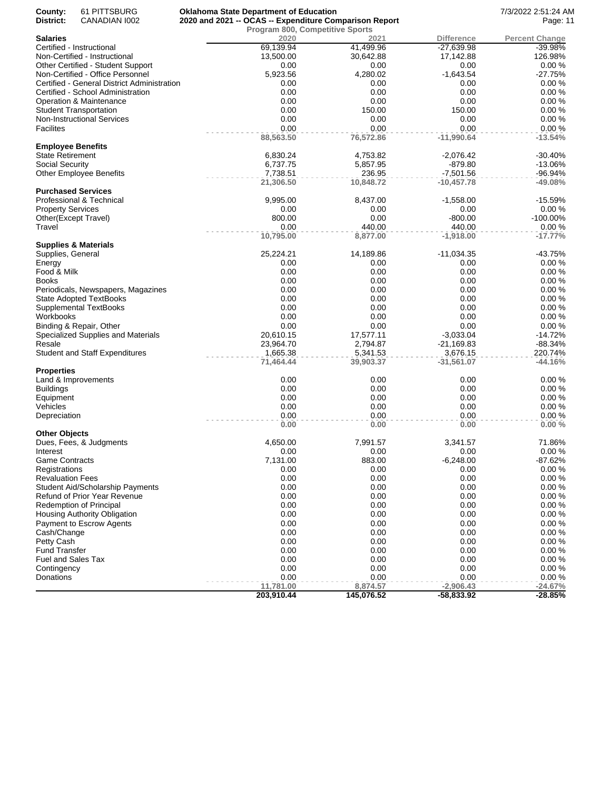| County:<br>61 PITTSBURG<br>District:<br>CANADIAN 1002                 | <b>Oklahoma State Department of Education</b><br>2020 and 2021 -- OCAS -- Expenditure Comparison Report |                       |                          | 7/3/2022 2:51:24 AM<br>Page: 11 |
|-----------------------------------------------------------------------|---------------------------------------------------------------------------------------------------------|-----------------------|--------------------------|---------------------------------|
|                                                                       | Program 800, Competitive Sports                                                                         |                       |                          |                                 |
| <b>Salaries</b>                                                       | 2020                                                                                                    | 2021                  | <b>Difference</b>        | <b>Percent Change</b>           |
| Certified - Instructional                                             | 69,139.94                                                                                               | 41,499.96             | $-27,639.98$             | $-39.98%$                       |
| Non-Certified - Instructional                                         | 13,500.00                                                                                               | 30,642.88             | 17,142.88                | 126.98%                         |
| Other Certified - Student Support<br>Non-Certified - Office Personnel | 0.00<br>5,923.56                                                                                        | 0.00<br>4,280.02      | 0.00<br>$-1,643.54$      | 0.00%<br>$-27.75%$              |
| Certified - General District Administration                           | 0.00                                                                                                    | 0.00                  | 0.00                     | 0.00%                           |
| Certified - School Administration                                     | 0.00                                                                                                    | 0.00                  | 0.00                     | 0.00%                           |
| Operation & Maintenance                                               | 0.00                                                                                                    | 0.00                  | 0.00                     | 0.00%                           |
| <b>Student Transportation</b>                                         | 0.00                                                                                                    | 150.00                | 150.00                   | 0.00%                           |
| <b>Non-Instructional Services</b>                                     | 0.00                                                                                                    | 0.00                  | 0.00                     | 0.00%                           |
| <b>Facilites</b>                                                      | 0.00                                                                                                    | 0.00                  | 0.00                     | 0.00%                           |
| <b>Employee Benefits</b>                                              | 88,563.50                                                                                               | 76,572.86             | $-11,990.64$             | $-13.54%$                       |
| State Retirement                                                      | 6,830.24                                                                                                | 4,753.82              | $-2,076.42$              | $-30.40%$                       |
| Social Security                                                       | 6,737.75                                                                                                | 5,857.95              | $-879.80$                | $-13.06%$                       |
| <b>Other Employee Benefits</b>                                        | 7,738.51                                                                                                | 236.95                | $-7,501.56$              | -96.94%                         |
|                                                                       | 21,306.50                                                                                               | 10,848.72             | -10,457.78               | $-49.08%$                       |
| <b>Purchased Services</b>                                             |                                                                                                         |                       |                          |                                 |
| Professional & Technical                                              | 9,995.00                                                                                                | 8,437.00              | $-1,558.00$              | $-15.59%$                       |
| <b>Property Services</b>                                              | 0.00                                                                                                    | 0.00                  | 0.00                     | 0.00%                           |
| Other(Except Travel)                                                  | 800.00                                                                                                  | 0.00                  | $-800.00$                | -100.00%                        |
| Travel                                                                | 0.00                                                                                                    | 440.00                | 440.00                   | 0.00%                           |
| <b>Supplies &amp; Materials</b>                                       | 10,795.00                                                                                               | 8,877.00              | $-1,918.00$              | $-17.77%$                       |
| Supplies, General                                                     | 25,224.21                                                                                               | 14,189.86             | $-11,034.35$             | $-43.75%$                       |
| Energy                                                                | 0.00                                                                                                    | 0.00                  | 0.00                     | 0.00%                           |
| Food & Milk                                                           | 0.00                                                                                                    | 0.00                  | 0.00                     | 0.00%                           |
| Books                                                                 | 0.00                                                                                                    | 0.00                  | 0.00                     | 0.00%                           |
| Periodicals, Newspapers, Magazines                                    | 0.00                                                                                                    | 0.00                  | 0.00                     | 0.00%                           |
| <b>State Adopted TextBooks</b>                                        | 0.00                                                                                                    | 0.00                  | 0.00                     | 0.00%                           |
| Supplemental TextBooks                                                | 0.00                                                                                                    | 0.00                  | 0.00                     | 0.00%                           |
| Workbooks                                                             | 0.00                                                                                                    | 0.00                  | 0.00                     | 0.00%                           |
| Binding & Repair, Other                                               | 0.00                                                                                                    | 0.00                  | 0.00                     | 0.00%                           |
| Specialized Supplies and Materials                                    | 20,610.15                                                                                               | 17,577.11             | $-3,033.04$              | $-14.72%$                       |
| Resale                                                                | 23,964.70                                                                                               | 2,794.87              | $-21,169.83$             | $-88.34%$                       |
| <b>Student and Staff Expenditures</b>                                 | 1,665.38<br>71,464.44                                                                                   | 5,341.53<br>39,903.37 | 3,676.15<br>$-31,561.07$ | 220.74%<br>$-44.16%$            |
| Properties                                                            |                                                                                                         |                       |                          |                                 |
| Land & Improvements                                                   | 0.00                                                                                                    | 0.00                  | 0.00                     | 0.00%                           |
| <b>Buildings</b>                                                      | 0.00                                                                                                    | 0.00                  | 0.00                     | 0.00%                           |
| Equipment                                                             | 0.00                                                                                                    | 0.00                  | 0.00                     | 0.00%                           |
| Vehicles                                                              | 0.00                                                                                                    | 0.00                  | 0.00                     | 0.00%                           |
| Depreciation                                                          | 0.00<br>0.00                                                                                            | 0.00<br>0.00          | 0.00<br>0.00             | 0.00%<br>0.00%                  |
| <b>Other Objects</b>                                                  |                                                                                                         |                       |                          |                                 |
| Dues, Fees, & Judgments                                               | 4,650.00                                                                                                | 7,991.57              | 3,341.57                 | 71.86%                          |
| Interest                                                              | 0.00                                                                                                    | 0.00                  | 0.00                     | 0.00%                           |
| Game Contracts                                                        | 7,131.00                                                                                                | 883.00                | $-6,248.00$              | -87.62%                         |
| Registrations                                                         | 0.00                                                                                                    | 0.00                  | 0.00                     | 0.00%                           |
| <b>Revaluation Fees</b>                                               | 0.00                                                                                                    | 0.00                  | 0.00                     | 0.00%                           |
| <b>Student Aid/Scholarship Payments</b>                               | 0.00                                                                                                    | 0.00                  | 0.00                     | 0.00%                           |
| Refund of Prior Year Revenue                                          | 0.00                                                                                                    | 0.00                  | 0.00                     | 0.00%                           |
| <b>Redemption of Principal</b>                                        | 0.00                                                                                                    | 0.00                  | 0.00                     | 0.00%                           |
| Housing Authority Obligation                                          | 0.00                                                                                                    | 0.00                  | 0.00                     | 0.00%                           |
| Payment to Escrow Agents                                              | 0.00                                                                                                    | 0.00                  | 0.00                     | 0.00%                           |
| Cash/Change                                                           | 0.00<br>0.00                                                                                            | 0.00<br>0.00          | 0.00<br>0.00             | 0.00%<br>0.00%                  |
| Petty Cash<br><b>Fund Transfer</b>                                    | 0.00                                                                                                    | 0.00                  | 0.00                     | 0.00%                           |
| Fuel and Sales Tax                                                    | 0.00                                                                                                    | 0.00                  | 0.00                     | 0.00%                           |
| Contingency                                                           | 0.00                                                                                                    | 0.00                  | 0.00                     | 0.00%                           |
| Donations                                                             | 0.00                                                                                                    | 0.00                  | 0.00                     | 0.00%                           |
|                                                                       | 11,781.00                                                                                               | 8,874.57              | $-2,906.43$              | $-24.67%$                       |
|                                                                       | 203,910.44                                                                                              | 145,076.52            | $-58,833.92$             | $-28.85%$                       |